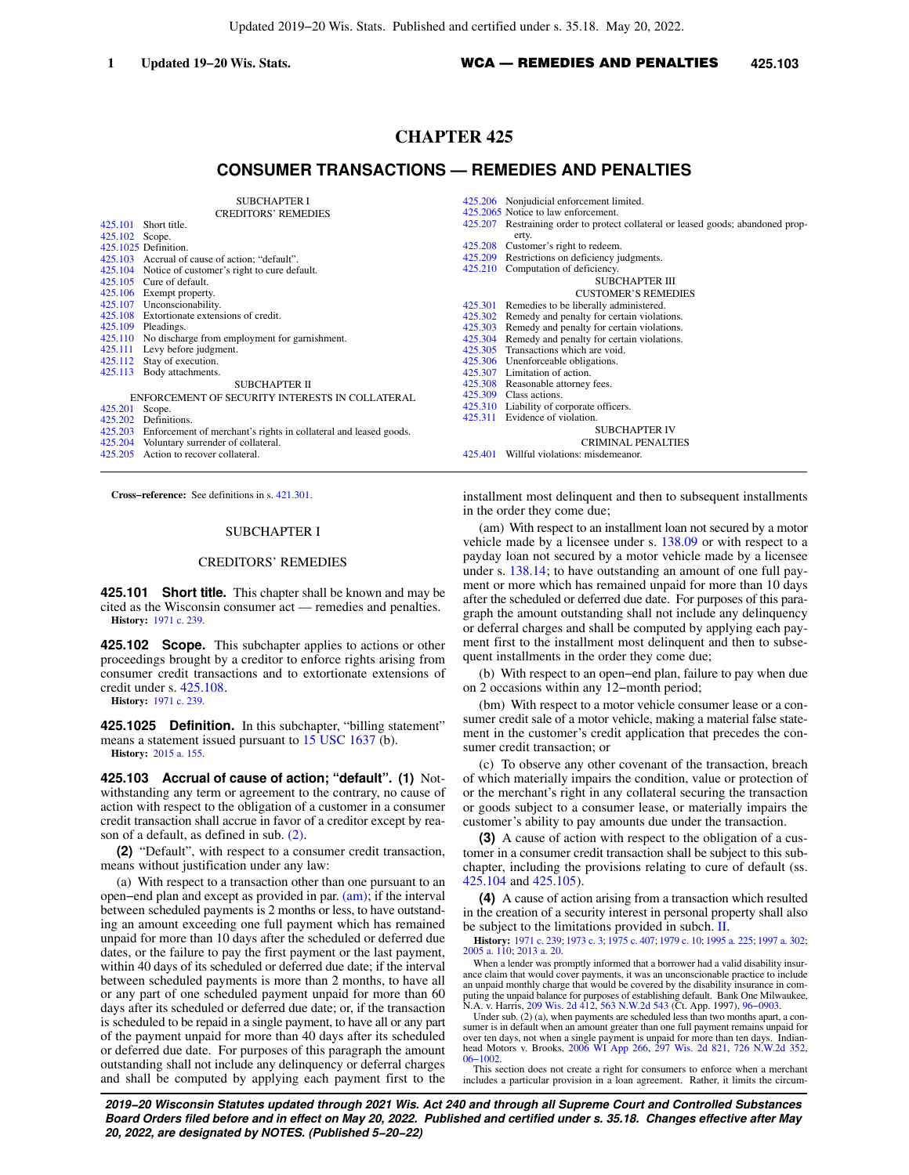# **CHAPTER 425**

# **CONSUMER TRANSACTIONS — REMEDIES AND PENALTIES**

SUBCHAPTER I CREDITORS' REMEDIES

| 425.101                                         | Short title.                                                     | 425.207 | Restraining orde          |
|-------------------------------------------------|------------------------------------------------------------------|---------|---------------------------|
| 425.102 Scope.                                  |                                                                  |         | erty.                     |
|                                                 | 425.1025 Definition.                                             | 425.208 | Customer's right          |
|                                                 | 425.103 Accrual of cause of action: "default".                   | 425.209 | Restrictions on o         |
| 425.104                                         | Notice of customer's right to cure default.                      |         | 425.210 Computation of    |
|                                                 | 425.105 Cure of default.                                         |         |                           |
|                                                 | 425.106 Exempt property.                                         |         |                           |
|                                                 | 425.107 Unconscionability.                                       | 425.301 | Remedies to be            |
|                                                 | 425.108 Extortionate extensions of credit.                       | 425.302 | Remedy and per            |
| 425.109                                         | Pleadings.                                                       |         | 425.303 Remedy and per    |
|                                                 | 425.110 No discharge from employment for garnishment.            | 425.304 | Remedy and per            |
| 425.111                                         | Levy before judgment.                                            | 425.305 | Transactions wh           |
| 425.112                                         | Stay of execution.                                               |         | 425.306 Unenforceable of  |
| 425.113                                         | Body attachments.                                                |         | 425.307 Limitation of ac  |
|                                                 | SUBCHAPTER II                                                    | 425.308 | Reasonable attor          |
| ENFORCEMENT OF SECURITY INTERESTS IN COLLATERAL |                                                                  |         | 425.309 Class actions.    |
| 425.201                                         | Scope.                                                           |         | 425.310 Liability of corp |
| 425.202                                         | Definitions.                                                     | 425.311 | Evidence of viol          |
| 425.203                                         | Enforcement of merchant's rights in collateral and leased goods. |         |                           |
|                                                 | 425.204 Voluntary surrender of collateral.                       |         |                           |
| 425.205                                         | Action to recover collateral.                                    | 425.401 | Willful violation         |
|                                                 |                                                                  |         |                           |

**Cross−reference:** See definitions in s. [421.301.](https://docs-preview.legis.wisconsin.gov/document/statutes/421.301)

### SUBCHAPTER I

## CREDITORS' REMEDIES

**425.101 Short title.** This chapter shall be known and may be cited as the Wisconsin consumer act — remedies and penalties. **History:** [1971 c. 239](https://docs-preview.legis.wisconsin.gov/document/acts/1971/239).

**425.102 Scope.** This subchapter applies to actions or other proceedings brought by a creditor to enforce rights arising from consumer credit transactions and to extortionate extensions of credit under s. [425.108](https://docs-preview.legis.wisconsin.gov/document/statutes/425.108).

**History:** [1971 c. 239](https://docs-preview.legis.wisconsin.gov/document/acts/1971/239).

**425.1025 Definition.** In this subchapter, "billing statement" means a statement issued pursuant to  $15$  USC 1637 (b). **History:** [2015 a. 155](https://docs-preview.legis.wisconsin.gov/document/acts/2015/155).

**425.103 Accrual of cause of action; "default". (1)** Notwithstanding any term or agreement to the contrary, no cause of action with respect to the obligation of a customer in a consumer credit transaction shall accrue in favor of a creditor except by reason of a default, as defined in sub. [\(2\).](https://docs-preview.legis.wisconsin.gov/document/statutes/425.103(2))

**(2)** "Default", with respect to a consumer credit transaction, means without justification under any law:

(a) With respect to a transaction other than one pursuant to an open−end plan and except as provided in par. [\(am\);](https://docs-preview.legis.wisconsin.gov/document/statutes/425.103(2)(am)) if the interval between scheduled payments is 2 months or less, to have outstanding an amount exceeding one full payment which has remained unpaid for more than 10 days after the scheduled or deferred due dates, or the failure to pay the first payment or the last payment, within 40 days of its scheduled or deferred due date; if the interval between scheduled payments is more than 2 months, to have all or any part of one scheduled payment unpaid for more than 60 days after its scheduled or deferred due date; or, if the transaction is scheduled to be repaid in a single payment, to have all or any part of the payment unpaid for more than 40 days after its scheduled or deferred due date. For purposes of this paragraph the amount outstanding shall not include any delinquency or deferral charges and shall be computed by applying each payment first to the

|         | 425.206 Nonjudicial enforcement limited.                                 |
|---------|--------------------------------------------------------------------------|
|         | 425.2065 Notice to law enforcement.                                      |
| 425.207 | Restraining order to protect collateral or leased goods; abandoned prop- |
|         | erty.                                                                    |
|         | 425.208 Customer's right to redeem.                                      |
|         | 425.209 Restrictions on deficiency judgments.                            |
|         | 425.210 Computation of deficiency.                                       |
|         | SUBCHAPTER III                                                           |
|         | <b>CUSTOMER'S REMEDIES</b>                                               |
| 425.301 | Remedies to be liberally administered.                                   |
| 425.302 | Remedy and penalty for certain violations.                               |
|         | 425.303 Remedy and penalty for certain violations.                       |
|         | 425.304 Remedy and penalty for certain violations.                       |
|         | 425.305 Transactions which are void.                                     |
|         | 425.306 Unenforceable obligations.                                       |
|         | 425.307 Limitation of action.                                            |
|         | 425.308 Reasonable attorney fees.                                        |
|         | 425.309 Class actions.                                                   |
|         | 425.310 Liability of corporate officers.                                 |
|         | 425.311 Evidence of violation.                                           |
|         | <b>SUBCHAPTER IV</b>                                                     |
|         | <b>CRIMINAL PENALTIES</b>                                                |
|         |                                                                          |

s: misdemeanor.

installment most delinquent and then to subsequent installments in the order they come due;

(am) With respect to an installment loan not secured by a motor vehicle made by a licensee under s. [138.09](https://docs-preview.legis.wisconsin.gov/document/statutes/138.09) or with respect to a payday loan not secured by a motor vehicle made by a licensee under s. [138.14](https://docs-preview.legis.wisconsin.gov/document/statutes/138.14); to have outstanding an amount of one full payment or more which has remained unpaid for more than 10 days after the scheduled or deferred due date. For purposes of this paragraph the amount outstanding shall not include any delinquency or deferral charges and shall be computed by applying each payment first to the installment most delinquent and then to subsequent installments in the order they come due;

(b) With respect to an open−end plan, failure to pay when due on 2 occasions within any 12−month period;

(bm) With respect to a motor vehicle consumer lease or a consumer credit sale of a motor vehicle, making a material false statement in the customer's credit application that precedes the consumer credit transaction; or

(c) To observe any other covenant of the transaction, breach of which materially impairs the condition, value or protection of or the merchant's right in any collateral securing the transaction or goods subject to a consumer lease, or materially impairs the customer's ability to pay amounts due under the transaction.

**(3)** A cause of action with respect to the obligation of a customer in a consumer credit transaction shall be subject to this subchapter, including the provisions relating to cure of default (ss. [425.104](https://docs-preview.legis.wisconsin.gov/document/statutes/425.104) and [425.105\)](https://docs-preview.legis.wisconsin.gov/document/statutes/425.105).

**(4)** A cause of action arising from a transaction which resulted in the creation of a security interest in personal property shall also be subject to the limitations provided in subch. [II.](https://docs-preview.legis.wisconsin.gov/document/statutes/subch.%20II%20of%20ch.%20425)

**History:** [1971 c. 239](https://docs-preview.legis.wisconsin.gov/document/acts/1971/239); [1973 c. 3](https://docs-preview.legis.wisconsin.gov/document/acts/1973/3); [1975 c. 407](https://docs-preview.legis.wisconsin.gov/document/acts/1975/407); [1979 c. 10;](https://docs-preview.legis.wisconsin.gov/document/acts/1979/10) [1995 a. 225](https://docs-preview.legis.wisconsin.gov/document/acts/1995/225); [1997 a. 302](https://docs-preview.legis.wisconsin.gov/document/acts/1997/302); [2005 a. 110;](https://docs-preview.legis.wisconsin.gov/document/acts/2005/110) [2013 a. 20.](https://docs-preview.legis.wisconsin.gov/document/acts/2013/20)

When a lender was promptly informed that a borrower had a valid disability insurance claim that would cover payments, it was an unconscionable practice to include an unpaid monthly charge that would be covered by the disability insurance in computing the unpaid balance for purposes of establishing default. Bank One Milwaukee, N.A. v. Harris, [209 Wis. 2d 412,](https://docs-preview.legis.wisconsin.gov/document/courts/209%20Wis.%202d%20412) [563 N.W.2d 543](https://docs-preview.legis.wisconsin.gov/document/courts/563%20N.W.2d%20543) (Ct. App. 1997), [96−0903.](https://docs-preview.legis.wisconsin.gov/document/wicourtofappeals/96-0903)

Under sub. (2) (a), when payments are scheduled less than two months apart, a consumer is in default when an amount greater than one full payment remains unpaid for over ten days, not when a single payment is unpaid for more than ten days. Indian-head Motors v. Brooks, [2006 WI App 266,](https://docs-preview.legis.wisconsin.gov/document/courts/2006%20WI%20App%20266) [297 Wis. 2d 821](https://docs-preview.legis.wisconsin.gov/document/courts/297%20Wis.%202d%20821), [726 N.W.2d 352](https://docs-preview.legis.wisconsin.gov/document/courts/726%20N.W.2d%20352),

[06−1002.](https://docs-preview.legis.wisconsin.gov/document/wicourtofappeals/06-1002) This section does not create a right for consumers to enforce when a merchant includes a particular provision in a loan agreement. Rather, it limits the circum-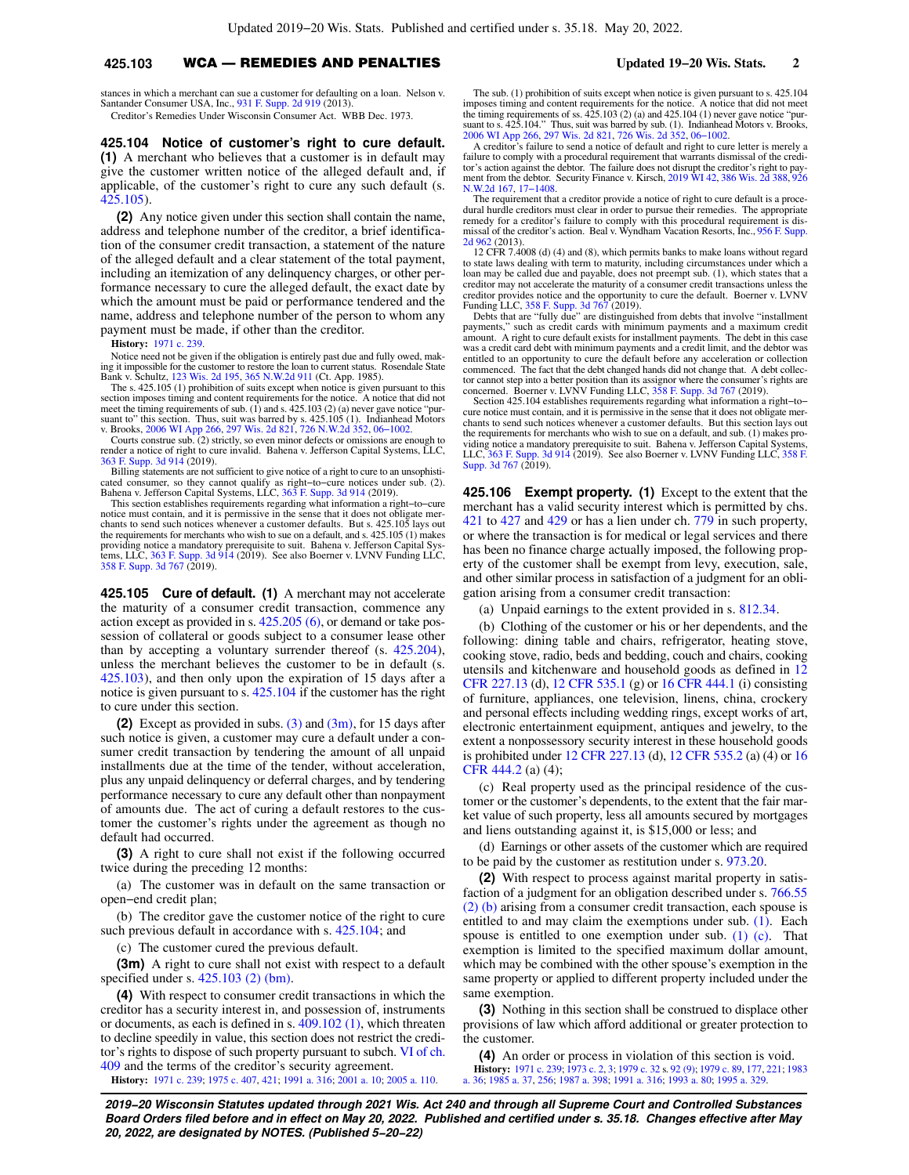# **425.103** WCA — REMEDIES AND PENALTIES **Updated 19−20 Wis. Stats. 2**

stances in which a merchant can sue a customer for defaulting on a loan. Nelson v. Santander Consumer USA, Inc., [931 F. Supp. 2d 919](https://docs-preview.legis.wisconsin.gov/document/courts/931%20F.%20Supp.%202d%20919) (2013). Creditor's Remedies Under Wisconsin Consumer Act. WBB Dec. 1973.

### **425.104 Notice of customer's right to cure default. (1)** A merchant who believes that a customer is in default may give the customer written notice of the alleged default and, if applicable, of the customer's right to cure any such default (s. [425.105](https://docs-preview.legis.wisconsin.gov/document/statutes/425.105)).

**(2)** Any notice given under this section shall contain the name, address and telephone number of the creditor, a brief identification of the consumer credit transaction, a statement of the nature of the alleged default and a clear statement of the total payment, including an itemization of any delinquency charges, or other performance necessary to cure the alleged default, the exact date by which the amount must be paid or performance tendered and the name, address and telephone number of the person to whom any payment must be made, if other than the creditor.

### **History:** [1971 c. 239](https://docs-preview.legis.wisconsin.gov/document/acts/1971/239).

Notice need not be given if the obligation is entirely past due and fully owed, making it impossible for the customer to restore the loan to current status. Rosendale State Bank v. Schultz, [123 Wis. 2d 195](https://docs-preview.legis.wisconsin.gov/document/courts/123%20Wis.%202d%20195), [365 N.W.2d 911](https://docs-preview.legis.wisconsin.gov/document/courts/365%20N.W.2d%20911) (Ct. App. 1985).

The s.  $425.105$  (1) prohibition of suits except when notice is given pursuant to this section imposes timing and content requirements for the notice. A notice that did not meet the timing requirements of sub. (1) and s. suant to" this section. Thus, suit was barred by s. 425.105 (1). Indianhead Motors v. Brooks, [2006 WI App 266,](https://docs-preview.legis.wisconsin.gov/document/courts/2006%20WI%20App%20266) [297 Wis. 2d 821,](https://docs-preview.legis.wisconsin.gov/document/courts/297%20Wis.%202d%20821) [726 N.W.2d 352](https://docs-preview.legis.wisconsin.gov/document/courts/726%20N.W.2d%20352), [06−1002](https://docs-preview.legis.wisconsin.gov/document/wicourtofappeals/06-1002).

Courts construe sub. (2) strictly, so even minor defects or omissions are enough to render a notice of right to cure invalid. Bahena v. Jefferson Capital Systems, LLC, [363 F. Supp. 3d 914](https://docs-preview.legis.wisconsin.gov/document/courts/363%20F.%20Supp.%203d%20914) (2019).

Billing statements are not sufficient to give notice of a right to cure to an unsophisticated consumer, so they cannot qualify as right−to−cure notices under sub. (2). Bahena v. Jefferson Capital Systems, LLC, [363 F. Supp. 3d 914](https://docs-preview.legis.wisconsin.gov/document/courts/363%20F.%20Supp.%203d%20914) (2019).

This section establishes requirements regarding what information a right−to−cure notice must contain, and it is permissive in the sense that it does not obligate merchants to send such notices whenever a customer defaults. But s. 425.105 lays out the requirements for merchants who wish to sue on a default, and s. 425.105 (1) makes providing notice a mandatory prerequisite to suit. Bahena v. Jefferson Capital Systems, LLC, [363 F. Supp. 3d 914](https://docs-preview.legis.wisconsin.gov/document/courts/363%20F.%20Supp.%203d%20914) (2019). See also Boerner v. LVNV Funding LLC, [358 F. Supp. 3d 767](https://docs-preview.legis.wisconsin.gov/document/courts/358%20F.%20Supp.%203d%20767) (2019).

**425.105 Cure of default. (1)** A merchant may not accelerate the maturity of a consumer credit transaction, commence any action except as provided in s. [425.205 \(6\)](https://docs-preview.legis.wisconsin.gov/document/statutes/425.205(6)), or demand or take possession of collateral or goods subject to a consumer lease other than by accepting a voluntary surrender thereof (s. [425.204\)](https://docs-preview.legis.wisconsin.gov/document/statutes/425.204), unless the merchant believes the customer to be in default (s. [425.103](https://docs-preview.legis.wisconsin.gov/document/statutes/425.103)), and then only upon the expiration of 15 days after a notice is given pursuant to s. [425.104](https://docs-preview.legis.wisconsin.gov/document/statutes/425.104) if the customer has the right to cure under this section.

**(2)** Except as provided in subs. [\(3\)](https://docs-preview.legis.wisconsin.gov/document/statutes/425.105(3)) and [\(3m\),](https://docs-preview.legis.wisconsin.gov/document/statutes/425.105(3m)) for 15 days after such notice is given, a customer may cure a default under a consumer credit transaction by tendering the amount of all unpaid installments due at the time of the tender, without acceleration, plus any unpaid delinquency or deferral charges, and by tendering performance necessary to cure any default other than nonpayment of amounts due. The act of curing a default restores to the customer the customer's rights under the agreement as though no default had occurred.

**(3)** A right to cure shall not exist if the following occurred twice during the preceding 12 months:

(a) The customer was in default on the same transaction or open−end credit plan;

(b) The creditor gave the customer notice of the right to cure such previous default in accordance with s.  $425.104$ ; and

(c) The customer cured the previous default.

**(3m)** A right to cure shall not exist with respect to a default specified under s. [425.103 \(2\) \(bm\).](https://docs-preview.legis.wisconsin.gov/document/statutes/425.103(2)(bm))

**(4)** With respect to consumer credit transactions in which the creditor has a security interest in, and possession of, instruments or documents, as each is defined in s. [409.102 \(1\),](https://docs-preview.legis.wisconsin.gov/document/statutes/409.102(1)) which threaten to decline speedily in value, this section does not restrict the creditor's rights to dispose of such property pursuant to subch. [VI of ch.](https://docs-preview.legis.wisconsin.gov/document/statutes/subch.%20VI%20of%20ch.%20409) [409](https://docs-preview.legis.wisconsin.gov/document/statutes/subch.%20VI%20of%20ch.%20409) and the terms of the creditor's security agreement.

**History:** [1971 c. 239](https://docs-preview.legis.wisconsin.gov/document/acts/1971/239); [1975 c. 407](https://docs-preview.legis.wisconsin.gov/document/acts/1975/407), [421](https://docs-preview.legis.wisconsin.gov/document/acts/1975/421); [1991 a. 316;](https://docs-preview.legis.wisconsin.gov/document/acts/1991/316) [2001 a. 10;](https://docs-preview.legis.wisconsin.gov/document/acts/2001/10) [2005 a. 110](https://docs-preview.legis.wisconsin.gov/document/acts/2005/110).

The sub. (1) prohibition of suits except when notice is given pursuant to s. 425.104 imposes timing and content requirements for the notice. A notice that did not meet<br>the timing requirements of ss. 425.103 (2) (a) and 425.104 (1) never gave notice "pursuant to s. 425.104." Thus, suit was barred by sub. (1). Indianhead Motors v. Brooks, [2006 WI App 266,](https://docs-preview.legis.wisconsin.gov/document/courts/2006%20WI%20App%20266) [297 Wis. 2d 821](https://docs-preview.legis.wisconsin.gov/document/courts/297%20Wis.%202d%20821), [726 Wis. 2d 352](https://docs-preview.legis.wisconsin.gov/document/courts/726%20Wis.%202d%20352), [06−1002](https://docs-preview.legis.wisconsin.gov/document/wicourtofappeals/06-1002). A creditor's failure to send a notice of default and right to cure letter is merely a

failure to comply with a procedural requirement that warrants dismissal of the creditor's action against the debtor. The failure does not disrupt the creditor's right to pay-ment from the debtor. Security Finance v. Kirsch, [2019 WI 42,](https://docs-preview.legis.wisconsin.gov/document/courts/2019%20WI%2042) [386 Wis. 2d 388,](https://docs-preview.legis.wisconsin.gov/document/courts/386%20Wis.%202d%20388) [926](https://docs-preview.legis.wisconsin.gov/document/courts/926%20N.W.2d%20167) [N.W.2d 167,](https://docs-preview.legis.wisconsin.gov/document/courts/926%20N.W.2d%20167) [17−1408.](https://docs-preview.legis.wisconsin.gov/document/wisupremecourt/17-1408)

The requirement that a creditor provide a notice of right to cure default is a procedural hurdle creditors must clear in order to pursue their remedies. The appropriate<br>remedy for a creditor's failure to comply with this procedural requirement is dis-<br>missal of the creditor's action. Beal v. Wyndham Vacat [2d 962](https://docs-preview.legis.wisconsin.gov/document/courts/956%20F.%20Supp.%202d%20962) (2013).

12 CFR 7.4008 (d) (4) and (8), which permits banks to make loans without regard to state laws dealing with term to maturity, including circumstances under which a loan may be called due and payable, does not preempt sub. (1), which states that a creditor may not accelerate the maturity of a consumer credit transactions unless the creditor provides notice and the opportunity to cure the default. Boerner v. LVNV Funding LLC, [358 F. Supp. 3d 767](https://docs-preview.legis.wisconsin.gov/document/courts/358%20F.%20Supp.%203d%20767) (2019).<br>Debts that are "fully due" are distinguished from debts that involve "installment"

payments," such as credit cards with minimum payments and a maximum credit amount. A right to cure default exists for installment payments. The debt in this case was a credit card debt with minimum payments and a credit limit, and the debtor was entitled to an opportunity to cure the default before any acceleration or collection commenced. The fact that the debt changed hands did not change that. A debt collector cannot step into a better position than its assignor where the consumer's rights are concerned. Boerner v. LVNV Funding LLC, [358 F. Supp. 3d 767](https://docs-preview.legis.wisconsin.gov/document/courts/358%20F.%20Supp.%203d%20767) (2019).

Section 425.104 establishes requirements regarding what information a right−to− cure notice must contain, and it is permissive in the sense that it does not obligate merchants to send such notices whenever a customer defaults. But this section lays out the requirements for merchants who wish to sue on a default, and sub. (1) makes providing notice a mandatory prerequisite to suit. Bahena v. Jefferson Capital Systems, LLC, [363 F. Supp. 3d 914](https://docs-preview.legis.wisconsin.gov/document/courts/363%20F.%20Supp.%203d%20914) (2019). See also Boerner v. LVNV Funding LLC, [358 F.](https://docs-preview.legis.wisconsin.gov/document/courts/358%20F.%20Supp.%203d%20767) [Supp. 3d 767](https://docs-preview.legis.wisconsin.gov/document/courts/358%20F.%20Supp.%203d%20767) (2019).

**425.106 Exempt property. (1)** Except to the extent that the merchant has a valid security interest which is permitted by chs. [421](https://docs-preview.legis.wisconsin.gov/document/statutes/ch.%20421) to [427](https://docs-preview.legis.wisconsin.gov/document/statutes/ch.%20427) and [429](https://docs-preview.legis.wisconsin.gov/document/statutes/ch.%20429) or has a lien under ch. [779](https://docs-preview.legis.wisconsin.gov/document/statutes/ch.%20779) in such property, or where the transaction is for medical or legal services and there has been no finance charge actually imposed, the following property of the customer shall be exempt from levy, execution, sale, and other similar process in satisfaction of a judgment for an obligation arising from a consumer credit transaction:

(a) Unpaid earnings to the extent provided in s. [812.34.](https://docs-preview.legis.wisconsin.gov/document/statutes/812.34)

(b) Clothing of the customer or his or her dependents, and the following: dining table and chairs, refrigerator, heating stove, cooking stove, radio, beds and bedding, couch and chairs, cooking utensils and kitchenware and household goods as defined in [12](https://docs-preview.legis.wisconsin.gov/document/cfr/12%20CFR%20227.13) [CFR 227.13](https://docs-preview.legis.wisconsin.gov/document/cfr/12%20CFR%20227.13) (d), [12 CFR 535.1](https://docs-preview.legis.wisconsin.gov/document/cfr/12%20CFR%20535.1) (g) or [16 CFR 444.1](https://docs-preview.legis.wisconsin.gov/document/cfr/16%20CFR%20444.1) (i) consisting of furniture, appliances, one television, linens, china, crockery and personal effects including wedding rings, except works of art, electronic entertainment equipment, antiques and jewelry, to the extent a nonpossessory security interest in these household goods is prohibited under [12 CFR 227.13](https://docs-preview.legis.wisconsin.gov/document/cfr/12%20CFR%20227.13) (d), [12 CFR 535.2](https://docs-preview.legis.wisconsin.gov/document/cfr/12%20CFR%20535.2) (a) (4) or [16](https://docs-preview.legis.wisconsin.gov/document/cfr/16%20CFR%20444.2) [CFR 444.2](https://docs-preview.legis.wisconsin.gov/document/cfr/16%20CFR%20444.2) (a) (4);

(c) Real property used as the principal residence of the customer or the customer's dependents, to the extent that the fair market value of such property, less all amounts secured by mortgages and liens outstanding against it, is \$15,000 or less; and

(d) Earnings or other assets of the customer which are required to be paid by the customer as restitution under s. [973.20.](https://docs-preview.legis.wisconsin.gov/document/statutes/973.20)

**(2)** With respect to process against marital property in satisfaction of a judgment for an obligation described under s. [766.55](https://docs-preview.legis.wisconsin.gov/document/statutes/766.55(2)(b)) [\(2\) \(b\)](https://docs-preview.legis.wisconsin.gov/document/statutes/766.55(2)(b)) arising from a consumer credit transaction, each spouse is entitled to and may claim the exemptions under sub. [\(1\)](https://docs-preview.legis.wisconsin.gov/document/statutes/425.106(1)). Each spouse is entitled to one exemption under sub.  $(1)$   $(c)$ . That exemption is limited to the specified maximum dollar amount, which may be combined with the other spouse's exemption in the same property or applied to different property included under the same exemption.

**(3)** Nothing in this section shall be construed to displace other provisions of law which afford additional or greater protection to the customer.

**(4)** An order or process in violation of this section is void. **History:** [1971 c. 239;](https://docs-preview.legis.wisconsin.gov/document/acts/1971/239) [1973 c. 2,](https://docs-preview.legis.wisconsin.gov/document/acts/1973/2) [3](https://docs-preview.legis.wisconsin.gov/document/acts/1973/3); [1979 c. 32](https://docs-preview.legis.wisconsin.gov/document/acts/1979/32) s. [92 \(9\)](https://docs-preview.legis.wisconsin.gov/document/acts/1979/32,%20s.%2092); [1979 c. 89,](https://docs-preview.legis.wisconsin.gov/document/acts/1979/89) [177](https://docs-preview.legis.wisconsin.gov/document/acts/1979/177), [221](https://docs-preview.legis.wisconsin.gov/document/acts/1979/221); [1983](https://docs-preview.legis.wisconsin.gov/document/acts/1983/36) [a. 36;](https://docs-preview.legis.wisconsin.gov/document/acts/1983/36) [1985 a. 37,](https://docs-preview.legis.wisconsin.gov/document/acts/1985/37) [256;](https://docs-preview.legis.wisconsin.gov/document/acts/1985/256) [1987 a. 398;](https://docs-preview.legis.wisconsin.gov/document/acts/1987/398) [1991 a. 316](https://docs-preview.legis.wisconsin.gov/document/acts/1991/316); [1993 a. 80](https://docs-preview.legis.wisconsin.gov/document/acts/1993/80); [1995 a. 329](https://docs-preview.legis.wisconsin.gov/document/acts/1995/329).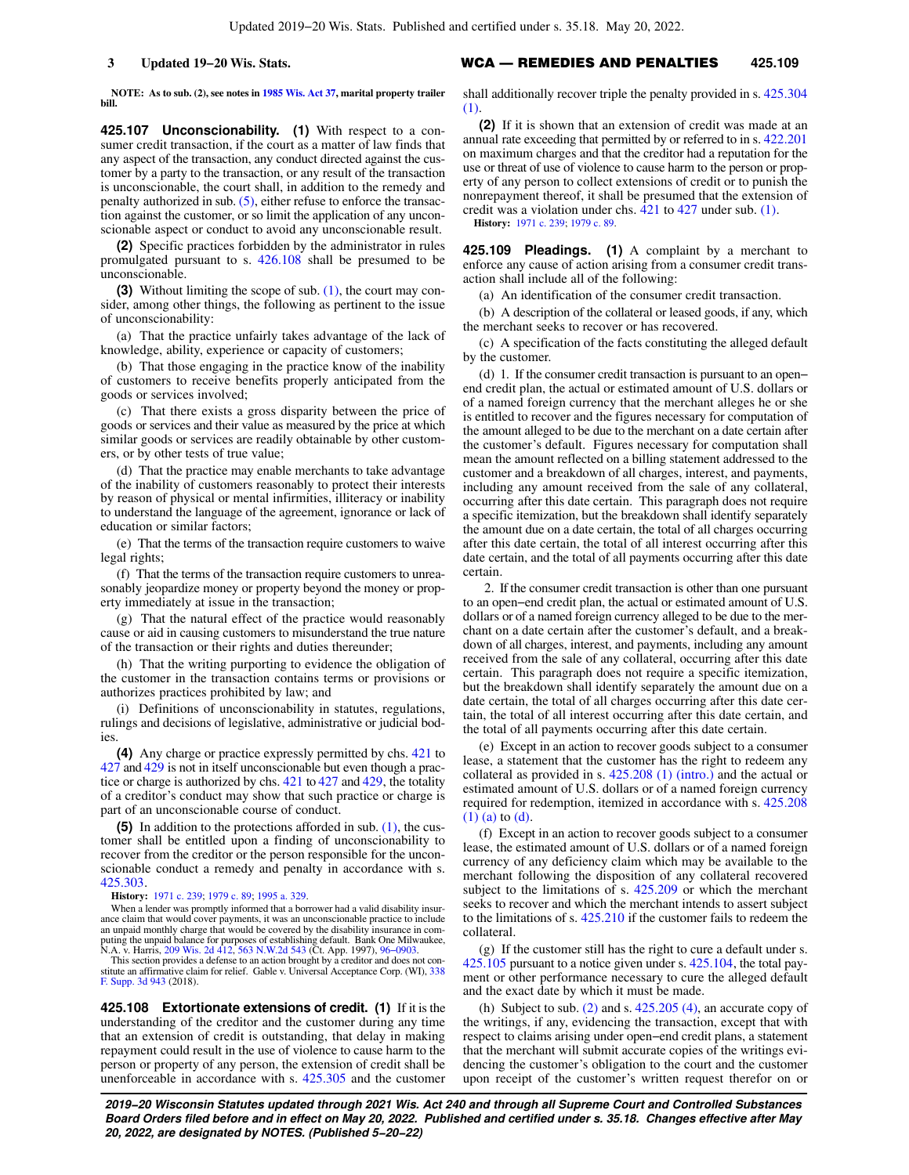**NOTE: As to sub. (2), see notes in [1985 Wis. Act 37](https://docs-preview.legis.wisconsin.gov/document/acts/1985/37), marital property trailer bill.**

**425.107 Unconscionability. (1)** With respect to a consumer credit transaction, if the court as a matter of law finds that any aspect of the transaction, any conduct directed against the customer by a party to the transaction, or any result of the transaction is unconscionable, the court shall, in addition to the remedy and penalty authorized in sub.  $(5)$ , either refuse to enforce the transaction against the customer, or so limit the application of any unconscionable aspect or conduct to avoid any unconscionable result.

**(2)** Specific practices forbidden by the administrator in rules promulgated pursuant to s. [426.108](https://docs-preview.legis.wisconsin.gov/document/statutes/426.108) shall be presumed to be unconscionable.

**(3)** Without limiting the scope of sub. [\(1\)](https://docs-preview.legis.wisconsin.gov/document/statutes/425.107(1)), the court may consider, among other things, the following as pertinent to the issue of unconscionability:

(a) That the practice unfairly takes advantage of the lack of knowledge, ability, experience or capacity of customers;

(b) That those engaging in the practice know of the inability of customers to receive benefits properly anticipated from the goods or services involved;

(c) That there exists a gross disparity between the price of goods or services and their value as measured by the price at which similar goods or services are readily obtainable by other customers, or by other tests of true value;

(d) That the practice may enable merchants to take advantage of the inability of customers reasonably to protect their interests by reason of physical or mental infirmities, illiteracy or inability to understand the language of the agreement, ignorance or lack of education or similar factors;

(e) That the terms of the transaction require customers to waive legal rights;

(f) That the terms of the transaction require customers to unreasonably jeopardize money or property beyond the money or property immediately at issue in the transaction;

(g) That the natural effect of the practice would reasonably cause or aid in causing customers to misunderstand the true nature of the transaction or their rights and duties thereunder;

(h) That the writing purporting to evidence the obligation of the customer in the transaction contains terms or provisions or authorizes practices prohibited by law; and

(i) Definitions of unconscionability in statutes, regulations, rulings and decisions of legislative, administrative or judicial bodies.

**(4)** Any charge or practice expressly permitted by chs. [421](https://docs-preview.legis.wisconsin.gov/document/statutes/ch.%20421) to [427](https://docs-preview.legis.wisconsin.gov/document/statutes/ch.%20427) and [429](https://docs-preview.legis.wisconsin.gov/document/statutes/ch.%20429) is not in itself unconscionable but even though a practice or charge is authorized by chs. [421](https://docs-preview.legis.wisconsin.gov/document/statutes/ch.%20421) to [427](https://docs-preview.legis.wisconsin.gov/document/statutes/ch.%20427) and [429](https://docs-preview.legis.wisconsin.gov/document/statutes/ch.%20429), the totality of a creditor's conduct may show that such practice or charge is part of an unconscionable course of conduct.

**(5)** In addition to the protections afforded in sub. [\(1\),](https://docs-preview.legis.wisconsin.gov/document/statutes/425.107(1)) the customer shall be entitled upon a finding of unconscionability to recover from the creditor or the person responsible for the unconscionable conduct a remedy and penalty in accordance with s. [425.303](https://docs-preview.legis.wisconsin.gov/document/statutes/425.303).

**History:** [1971 c. 239](https://docs-preview.legis.wisconsin.gov/document/acts/1971/239); [1979 c. 89;](https://docs-preview.legis.wisconsin.gov/document/acts/1979/89) [1995 a. 329](https://docs-preview.legis.wisconsin.gov/document/acts/1995/329).

When a lender was promptly informed that a borrower had a valid disability insurance claim that would cover payments, it was an unconscionable practice to include an unpaid monthly charge that would be covered by the disability insurance in com-<br>puting the unpaid balance for purposes of establishing default. Bank One Milwaukee,<br>N.A. v. Harris, [209 Wis. 2d 412,](https://docs-preview.legis.wisconsin.gov/document/courts/209%20Wis.%202d%20412) [563 N.W.2d 543](https://docs-preview.legis.wisconsin.gov/document/courts/563%20N.W.2d%20543) (Ct. Ap

This section provides a defense to an action brought by a creditor and does not con-stitute an affirmative claim for relief. Gable v. Universal Acceptance Corp. (WI), [338](https://docs-preview.legis.wisconsin.gov/document/courts/338%20F.%20Supp.%203d%20943) [F. Supp. 3d 943](https://docs-preview.legis.wisconsin.gov/document/courts/338%20F.%20Supp.%203d%20943) (2018).

**425.108 Extortionate extensions of credit. (1)** If it is the understanding of the creditor and the customer during any time that an extension of credit is outstanding, that delay in making repayment could result in the use of violence to cause harm to the person or property of any person, the extension of credit shall be unenforceable in accordance with s. [425.305](https://docs-preview.legis.wisconsin.gov/document/statutes/425.305) and the customer

## **3 Updated 19−20 Wis. Stats.** WCA — REMEDIES AND PENALTIES **425.109**

shall additionally recover triple the penalty provided in s. [425.304](https://docs-preview.legis.wisconsin.gov/document/statutes/425.304(1)) [\(1\).](https://docs-preview.legis.wisconsin.gov/document/statutes/425.304(1))

**(2)** If it is shown that an extension of credit was made at an annual rate exceeding that permitted by or referred to in s. [422.201](https://docs-preview.legis.wisconsin.gov/document/statutes/422.201) on maximum charges and that the creditor had a reputation for the use or threat of use of violence to cause harm to the person or property of any person to collect extensions of credit or to punish the nonrepayment thereof, it shall be presumed that the extension of credit was a violation under chs. [421](https://docs-preview.legis.wisconsin.gov/document/statutes/ch.%20421) to [427](https://docs-preview.legis.wisconsin.gov/document/statutes/ch.%20427) under sub. [\(1\).](https://docs-preview.legis.wisconsin.gov/document/statutes/425.108(1)) **History:** [1971 c. 239;](https://docs-preview.legis.wisconsin.gov/document/acts/1971/239) [1979 c. 89.](https://docs-preview.legis.wisconsin.gov/document/acts/1979/89)

**425.109 Pleadings. (1)** A complaint by a merchant to enforce any cause of action arising from a consumer credit transaction shall include all of the following:

(a) An identification of the consumer credit transaction.

(b) A description of the collateral or leased goods, if any, which the merchant seeks to recover or has recovered.

(c) A specification of the facts constituting the alleged default by the customer.

(d) 1. If the consumer credit transaction is pursuant to an open− end credit plan, the actual or estimated amount of U.S. dollars or of a named foreign currency that the merchant alleges he or she is entitled to recover and the figures necessary for computation of the amount alleged to be due to the merchant on a date certain after the customer's default. Figures necessary for computation shall mean the amount reflected on a billing statement addressed to the customer and a breakdown of all charges, interest, and payments, including any amount received from the sale of any collateral, occurring after this date certain. This paragraph does not require a specific itemization, but the breakdown shall identify separately the amount due on a date certain, the total of all charges occurring after this date certain, the total of all interest occurring after this date certain, and the total of all payments occurring after this date certain.

2. If the consumer credit transaction is other than one pursuant to an open−end credit plan, the actual or estimated amount of U.S. dollars or of a named foreign currency alleged to be due to the merchant on a date certain after the customer's default, and a breakdown of all charges, interest, and payments, including any amount received from the sale of any collateral, occurring after this date certain. This paragraph does not require a specific itemization, but the breakdown shall identify separately the amount due on a date certain, the total of all charges occurring after this date certain, the total of all interest occurring after this date certain, and the total of all payments occurring after this date certain.

(e) Except in an action to recover goods subject to a consumer lease, a statement that the customer has the right to redeem any collateral as provided in s. [425.208 \(1\) \(intro.\)](https://docs-preview.legis.wisconsin.gov/document/statutes/425.208(1)(intro.)) and the actual or estimated amount of U.S. dollars or of a named foreign currency required for redemption, itemized in accordance with s. [425.208](https://docs-preview.legis.wisconsin.gov/document/statutes/425.208(1)(a)) [\(1\) \(a\)](https://docs-preview.legis.wisconsin.gov/document/statutes/425.208(1)(a)) to [\(d\).](https://docs-preview.legis.wisconsin.gov/document/statutes/425.208(1)(d))

(f) Except in an action to recover goods subject to a consumer lease, the estimated amount of U.S. dollars or of a named foreign currency of any deficiency claim which may be available to the merchant following the disposition of any collateral recovered subject to the limitations of s.  $425.209$  or which the merchant seeks to recover and which the merchant intends to assert subject to the limitations of s. [425.210](https://docs-preview.legis.wisconsin.gov/document/statutes/425.210) if the customer fails to redeem the collateral.

(g) If the customer still has the right to cure a default under s. [425.105](https://docs-preview.legis.wisconsin.gov/document/statutes/425.105) pursuant to a notice given under s. [425.104](https://docs-preview.legis.wisconsin.gov/document/statutes/425.104), the total payment or other performance necessary to cure the alleged default and the exact date by which it must be made.

(h) Subject to sub.  $(2)$  and s.  $425.205$   $(4)$ , an accurate copy of the writings, if any, evidencing the transaction, except that with respect to claims arising under open−end credit plans, a statement that the merchant will submit accurate copies of the writings evidencing the customer's obligation to the court and the customer upon receipt of the customer's written request therefor on or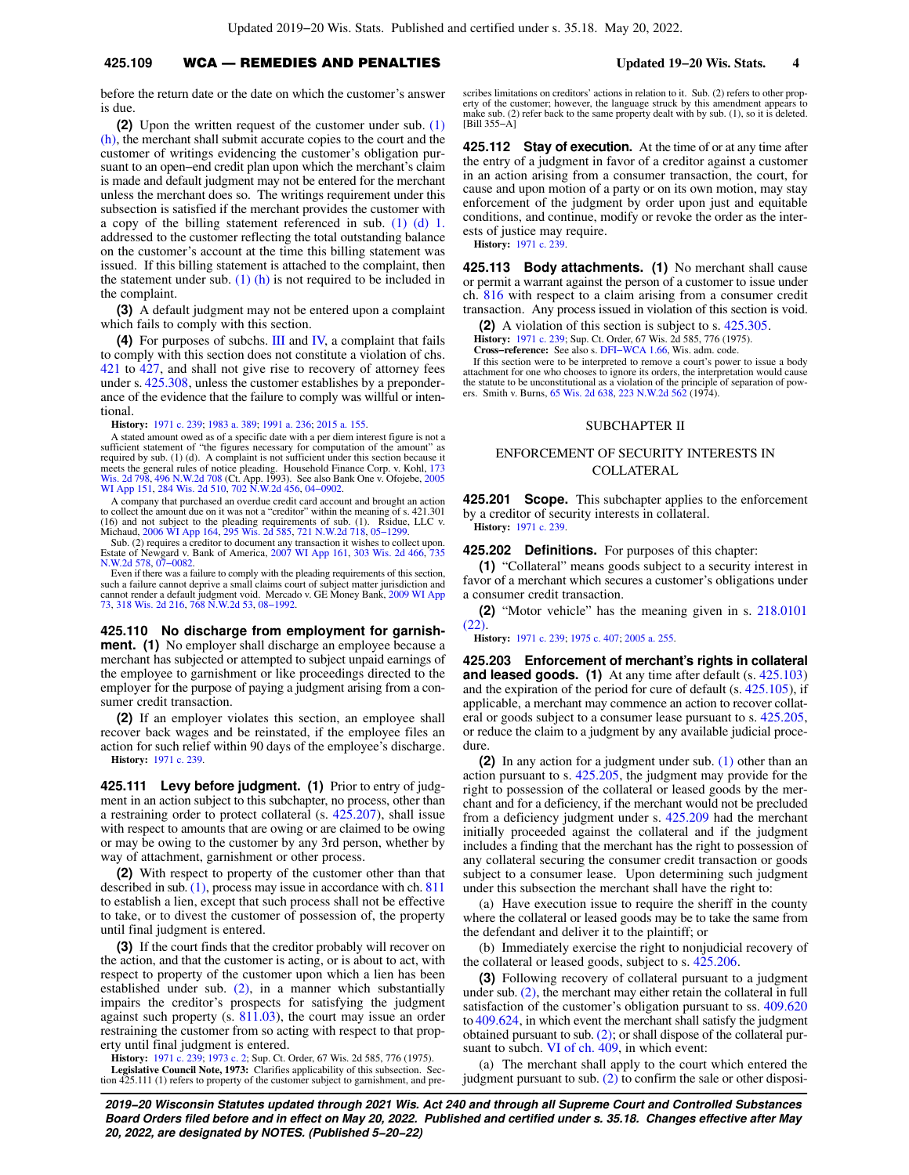## **425.109** WCA — REMEDIES AND PENALTIES **Updated 19−20 Wis. Stats. 4**

before the return date or the date on which the customer's answer is due.

**(2)** Upon the written request of the customer under sub. [\(1\)](https://docs-preview.legis.wisconsin.gov/document/statutes/425.109(1)(h)) [\(h\)](https://docs-preview.legis.wisconsin.gov/document/statutes/425.109(1)(h)), the merchant shall submit accurate copies to the court and the customer of writings evidencing the customer's obligation pursuant to an open−end credit plan upon which the merchant's claim is made and default judgment may not be entered for the merchant unless the merchant does so. The writings requirement under this subsection is satisfied if the merchant provides the customer with a copy of the billing statement referenced in sub. [\(1\) \(d\) 1.](https://docs-preview.legis.wisconsin.gov/document/statutes/425.109(1)(d)1.) addressed to the customer reflecting the total outstanding balance on the customer's account at the time this billing statement was issued. If this billing statement is attached to the complaint, then the statement under sub.  $(1)$  (h) is not required to be included in the complaint.

**(3)** A default judgment may not be entered upon a complaint which fails to comply with this section.

**(4)** For purposes of subchs. [III](https://docs-preview.legis.wisconsin.gov/document/statutes/subch.%20III%20of%20ch.%20425) and [IV,](https://docs-preview.legis.wisconsin.gov/document/statutes/subch.%20IV%20of%20ch.%20425) a complaint that fails to comply with this section does not constitute a violation of chs. [421](https://docs-preview.legis.wisconsin.gov/document/statutes/ch.%20421) to [427,](https://docs-preview.legis.wisconsin.gov/document/statutes/ch.%20427) and shall not give rise to recovery of attorney fees under s. [425.308](https://docs-preview.legis.wisconsin.gov/document/statutes/425.308), unless the customer establishes by a preponderance of the evidence that the failure to comply was willful or intentional.

**History:** [1971 c. 239](https://docs-preview.legis.wisconsin.gov/document/acts/1971/239); [1983 a. 389](https://docs-preview.legis.wisconsin.gov/document/acts/1983/389); [1991 a. 236;](https://docs-preview.legis.wisconsin.gov/document/acts/1991/236) [2015 a. 155](https://docs-preview.legis.wisconsin.gov/document/acts/2015/155).

A stated amount owed as of a specific date with a per diem interest figure is not a sufficient statement of "the figures necessary for computation of the amount" as required by sub. (1) (d). A complaint is not sufficient under this section because it meets the general rules of notice pleading. Household Finance Corp. v. Kohl, [173](https://docs-preview.legis.wisconsin.gov/document/courts/173%20Wis.%202d%20798)<br>[Wis. 2d 798,](https://docs-preview.legis.wisconsin.gov/document/courts/173%20Wis.%202d%20798) [496 N.W.2d 708](https://docs-preview.legis.wisconsin.gov/document/courts/496%20N.W.2d%20708) (Ct. App. 1993). See also Bank One v. Ofojebe, [2005](https://docs-preview.legis.wisconsin.gov/document/courts/2005%20WI%20App%20151)<br>[WI App 151,](https://docs-preview.legis.wisconsin.gov/document/courts/2005%20WI%20App%20151) [284 Wis. 2d 510](https://docs-preview.legis.wisconsin.gov/document/courts/284%20Wis.%202d%20510), [702 N.W.2d 456](https://docs-preview.legis.wisconsin.gov/document/courts/702%20N.W.2d%20456), [04−0902](https://docs-preview.legis.wisconsin.gov/document/wicourtofappeals/04-0902).

A company that purchased an overdue credit card account and brought an action to collect the amount due on it was not a "creditor" within the meaning of s. 421.301 (16) and not subject to the pleading requirements of sub. (1). Rsidue, LLC v. Michaud, [2006 WI App 164](https://docs-preview.legis.wisconsin.gov/document/courts/2006%20WI%20App%20164), [295 Wis. 2d 585,](https://docs-preview.legis.wisconsin.gov/document/courts/295%20Wis.%202d%20585) [721 N.W.2d 718](https://docs-preview.legis.wisconsin.gov/document/courts/721%20N.W.2d%20718), [05−1299](https://docs-preview.legis.wisconsin.gov/document/wicourtofappeals/05-1299).

Sub. (2) requires a creditor to document any transaction it wishes to collect upon. Estate of Newgard v. Bank of America, [2007 WI App 161,](https://docs-preview.legis.wisconsin.gov/document/courts/2007%20WI%20App%20161) [303 Wis. 2d 466,](https://docs-preview.legis.wisconsin.gov/document/courts/303%20Wis.%202d%20466) [735](https://docs-preview.legis.wisconsin.gov/document/courts/735%20N.W.2d%20578) [N.W.2d 578,](https://docs-preview.legis.wisconsin.gov/document/courts/735%20N.W.2d%20578) [07−0082.](https://docs-preview.legis.wisconsin.gov/document/wicourtofappeals/07-0082)

Even if there was a failure to comply with the pleading requirements of this section, such a failure cannot deprive a small claims court of subject matter jurisdiction and cannot render a default judgment void. Mercado v. GE Money Bank, [2009 WI App](https://docs-preview.legis.wisconsin.gov/document/courts/2009%20WI%20App%2073) [73,](https://docs-preview.legis.wisconsin.gov/document/courts/2009%20WI%20App%2073) [318 Wis. 2d 216](https://docs-preview.legis.wisconsin.gov/document/courts/318%20Wis.%202d%20216), [768 N.W.2d 53,](https://docs-preview.legis.wisconsin.gov/document/courts/768%20N.W.2d%2053) [08−1992.](https://docs-preview.legis.wisconsin.gov/document/wicourtofappeals/08-1992)

**425.110 No discharge from employment for garnishment.** (1) No employer shall discharge an employee because a merchant has subjected or attempted to subject unpaid earnings of the employee to garnishment or like proceedings directed to the employer for the purpose of paying a judgment arising from a consumer credit transaction.

**(2)** If an employer violates this section, an employee shall recover back wages and be reinstated, if the employee files an action for such relief within 90 days of the employee's discharge. **History:** [1971 c. 239](https://docs-preview.legis.wisconsin.gov/document/acts/1971/239).

**425.111 Levy before judgment. (1)** Prior to entry of judgment in an action subject to this subchapter, no process, other than a restraining order to protect collateral (s. [425.207\)](https://docs-preview.legis.wisconsin.gov/document/statutes/425.207), shall issue with respect to amounts that are owing or are claimed to be owing or may be owing to the customer by any 3rd person, whether by way of attachment, garnishment or other process.

**(2)** With respect to property of the customer other than that described in sub. [\(1\),](https://docs-preview.legis.wisconsin.gov/document/statutes/425.111(1)) process may issue in accordance with ch. [811](https://docs-preview.legis.wisconsin.gov/document/statutes/ch.%20811) to establish a lien, except that such process shall not be effective to take, or to divest the customer of possession of, the property until final judgment is entered.

**(3)** If the court finds that the creditor probably will recover on the action, and that the customer is acting, or is about to act, with respect to property of the customer upon which a lien has been established under sub. [\(2\)](https://docs-preview.legis.wisconsin.gov/document/statutes/425.111(2)), in a manner which substantially impairs the creditor's prospects for satisfying the judgment against such property (s. [811.03\)](https://docs-preview.legis.wisconsin.gov/document/statutes/811.03), the court may issue an order restraining the customer from so acting with respect to that property until final judgment is entered.

**History:** [1971 c. 239](https://docs-preview.legis.wisconsin.gov/document/acts/1971/239); [1973 c. 2;](https://docs-preview.legis.wisconsin.gov/document/acts/1973/2) Sup. Ct. Order, 67 Wis. 2d 585, 776 (1975). **Legislative Council Note, 1973:** Clarifies applicability of this subsection. Section 425.111 (1) refers to property of the customer subject to garnishment, and pre-

scribes limitations on creditors' actions in relation to it. Sub. (2) refers to other property of the customer; however, the language struck by this amendment appears to make sub. (2) refer back to the same property dealt with by sub. (1), so it is deleted. [Bill 355−A]

**425.112 Stay of execution.** At the time of or at any time after the entry of a judgment in favor of a creditor against a customer in an action arising from a consumer transaction, the court, for cause and upon motion of a party or on its own motion, may stay enforcement of the judgment by order upon just and equitable conditions, and continue, modify or revoke the order as the interests of justice may require. **History:** [1971 c. 239.](https://docs-preview.legis.wisconsin.gov/document/acts/1971/239)

**425.113 Body attachments. (1)** No merchant shall cause or permit a warrant against the person of a customer to issue under ch. [816](https://docs-preview.legis.wisconsin.gov/document/statutes/ch.%20816) with respect to a claim arising from a consumer credit transaction. Any process issued in violation of this section is void.

**(2)** A violation of this section is subject to s. [425.305.](https://docs-preview.legis.wisconsin.gov/document/statutes/425.305)

**History:** [1971 c. 239;](https://docs-preview.legis.wisconsin.gov/document/acts/1971/239) Sup. Ct. Order, 67 Wis. 2d 585, 776 (1975). **Cross−reference:** See also s. [DFI−WCA 1.66,](https://docs-preview.legis.wisconsin.gov/document/administrativecode/DFI-WCA%201.66) Wis. adm. code.

If this section were to be interpreted to remove a court's power to issue a body

attachment for one who chooses to ignore its orders, the interpretation would cause the statute to be unconstitutional as a violation of the principle of separation of pow-<br>ers. Smith v. Burns, [65 Wis. 2d 638](https://docs-preview.legis.wisconsin.gov/document/courts/65%20Wis.%202d%20638), [223 N.W.2d 562](https://docs-preview.legis.wisconsin.gov/document/courts/223%20N.W.2d%20562) (1974).

### SUBCHAPTER II

# ENFORCEMENT OF SECURITY INTERESTS IN COLLATERAL

**425.201 Scope.** This subchapter applies to the enforcement by a creditor of security interests in collateral. **History:** [1971 c. 239.](https://docs-preview.legis.wisconsin.gov/document/acts/1971/239)

**425.202 Definitions.** For purposes of this chapter:

**(1)** "Collateral" means goods subject to a security interest in favor of a merchant which secures a customer's obligations under a consumer credit transaction.

**(2)** "Motor vehicle" has the meaning given in s. [218.0101](https://docs-preview.legis.wisconsin.gov/document/statutes/218.0101(22)) [\(22\)](https://docs-preview.legis.wisconsin.gov/document/statutes/218.0101(22)).

**History:** [1971 c. 239;](https://docs-preview.legis.wisconsin.gov/document/acts/1971/239) [1975 c. 407](https://docs-preview.legis.wisconsin.gov/document/acts/1975/407); [2005 a. 255.](https://docs-preview.legis.wisconsin.gov/document/acts/2005/255)

**425.203 Enforcement of merchant's rights in collateral and leased goods.** (1) At any time after default (s. [425.103](https://docs-preview.legis.wisconsin.gov/document/statutes/425.103)) and the expiration of the period for cure of default (s. [425.105\)](https://docs-preview.legis.wisconsin.gov/document/statutes/425.105), if applicable, a merchant may commence an action to recover collateral or goods subject to a consumer lease pursuant to s. [425.205,](https://docs-preview.legis.wisconsin.gov/document/statutes/425.205) or reduce the claim to a judgment by any available judicial procedure.

**(2)** In any action for a judgment under sub. [\(1\)](https://docs-preview.legis.wisconsin.gov/document/statutes/425.203(1)) other than an action pursuant to s. [425.205](https://docs-preview.legis.wisconsin.gov/document/statutes/425.205), the judgment may provide for the right to possession of the collateral or leased goods by the merchant and for a deficiency, if the merchant would not be precluded from a deficiency judgment under s. [425.209](https://docs-preview.legis.wisconsin.gov/document/statutes/425.209) had the merchant initially proceeded against the collateral and if the judgment includes a finding that the merchant has the right to possession of any collateral securing the consumer credit transaction or goods subject to a consumer lease. Upon determining such judgment under this subsection the merchant shall have the right to:

(a) Have execution issue to require the sheriff in the county where the collateral or leased goods may be to take the same from the defendant and deliver it to the plaintiff; or

(b) Immediately exercise the right to nonjudicial recovery of the collateral or leased goods, subject to s. [425.206.](https://docs-preview.legis.wisconsin.gov/document/statutes/425.206)

**(3)** Following recovery of collateral pursuant to a judgment under sub. [\(2\)](https://docs-preview.legis.wisconsin.gov/document/statutes/425.203(2)), the merchant may either retain the collateral in full satisfaction of the customer's obligation pursuant to ss. [409.620](https://docs-preview.legis.wisconsin.gov/document/statutes/409.620) to [409.624,](https://docs-preview.legis.wisconsin.gov/document/statutes/409.624) in which event the merchant shall satisfy the judgment obtained pursuant to sub. [\(2\);](https://docs-preview.legis.wisconsin.gov/document/statutes/425.203(2)) or shall dispose of the collateral pur-suant to subch. [VI of ch. 409,](https://docs-preview.legis.wisconsin.gov/document/statutes/subch.%20VI%20of%20ch.%20409) in which event:

(a) The merchant shall apply to the court which entered the judgment pursuant to sub. [\(2\)](https://docs-preview.legis.wisconsin.gov/document/statutes/425.203(2)) to confirm the sale or other disposi-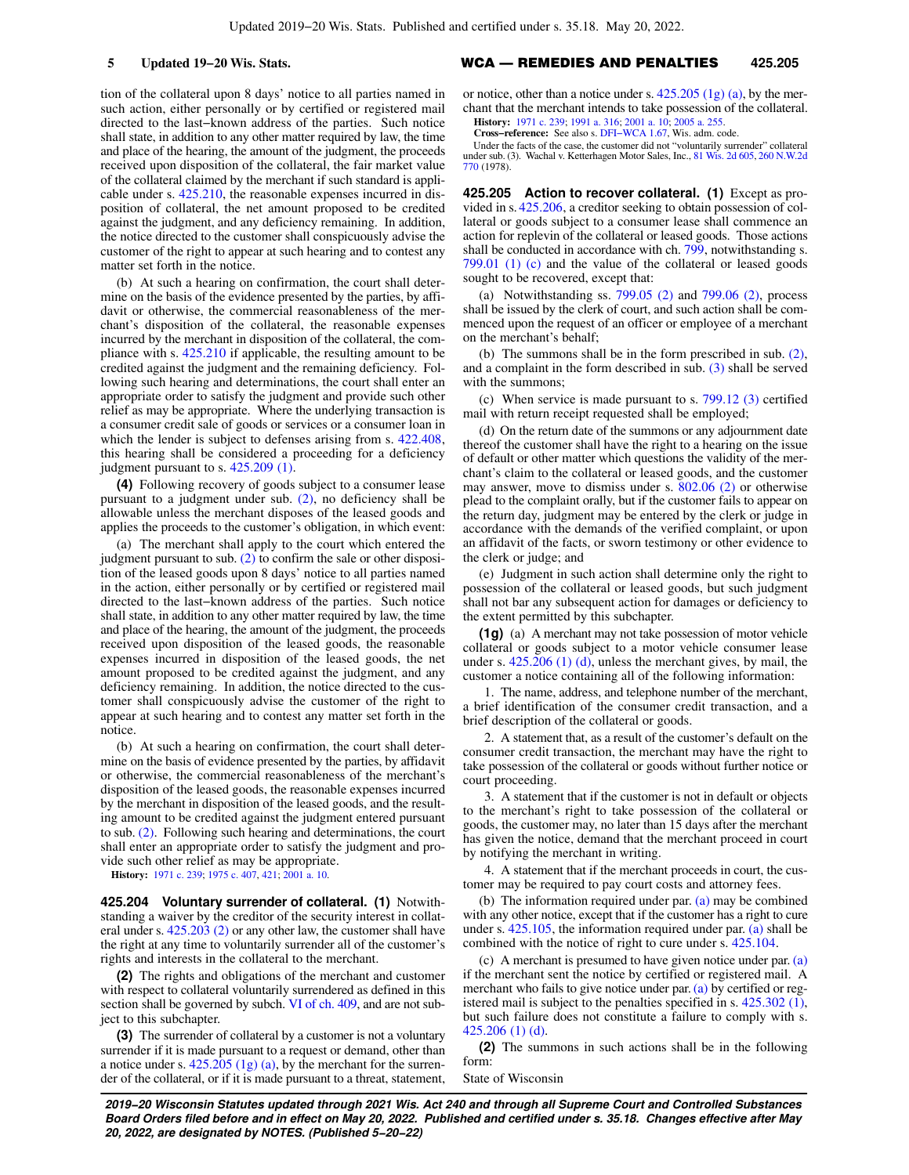tion of the collateral upon 8 days' notice to all parties named in such action, either personally or by certified or registered mail directed to the last−known address of the parties. Such notice shall state, in addition to any other matter required by law, the time and place of the hearing, the amount of the judgment, the proceeds received upon disposition of the collateral, the fair market value of the collateral claimed by the merchant if such standard is applicable under s. [425.210](https://docs-preview.legis.wisconsin.gov/document/statutes/425.210), the reasonable expenses incurred in disposition of collateral, the net amount proposed to be credited against the judgment, and any deficiency remaining. In addition, the notice directed to the customer shall conspicuously advise the customer of the right to appear at such hearing and to contest any matter set forth in the notice.

(b) At such a hearing on confirmation, the court shall determine on the basis of the evidence presented by the parties, by affidavit or otherwise, the commercial reasonableness of the merchant's disposition of the collateral, the reasonable expenses incurred by the merchant in disposition of the collateral, the compliance with s. [425.210](https://docs-preview.legis.wisconsin.gov/document/statutes/425.210) if applicable, the resulting amount to be credited against the judgment and the remaining deficiency. Following such hearing and determinations, the court shall enter an appropriate order to satisfy the judgment and provide such other relief as may be appropriate. Where the underlying transaction is a consumer credit sale of goods or services or a consumer loan in which the lender is subject to defenses arising from s.  $422.408$ , this hearing shall be considered a proceeding for a deficiency judgment pursuant to s. [425.209 \(1\)](https://docs-preview.legis.wisconsin.gov/document/statutes/425.209(1)).

**(4)** Following recovery of goods subject to a consumer lease pursuant to a judgment under sub. [\(2\)](https://docs-preview.legis.wisconsin.gov/document/statutes/425.203(2)), no deficiency shall be allowable unless the merchant disposes of the leased goods and applies the proceeds to the customer's obligation, in which event:

(a) The merchant shall apply to the court which entered the judgment pursuant to sub. [\(2\)](https://docs-preview.legis.wisconsin.gov/document/statutes/425.203(2)) to confirm the sale or other disposition of the leased goods upon 8 days' notice to all parties named in the action, either personally or by certified or registered mail directed to the last−known address of the parties. Such notice shall state, in addition to any other matter required by law, the time and place of the hearing, the amount of the judgment, the proceeds received upon disposition of the leased goods, the reasonable expenses incurred in disposition of the leased goods, the net amount proposed to be credited against the judgment, and any deficiency remaining. In addition, the notice directed to the customer shall conspicuously advise the customer of the right to appear at such hearing and to contest any matter set forth in the notice.

(b) At such a hearing on confirmation, the court shall determine on the basis of evidence presented by the parties, by affidavit or otherwise, the commercial reasonableness of the merchant's disposition of the leased goods, the reasonable expenses incurred by the merchant in disposition of the leased goods, and the resulting amount to be credited against the judgment entered pursuant to sub. [\(2\).](https://docs-preview.legis.wisconsin.gov/document/statutes/425.203(2)) Following such hearing and determinations, the court shall enter an appropriate order to satisfy the judgment and provide such other relief as may be appropriate.

**History:** [1971 c. 239](https://docs-preview.legis.wisconsin.gov/document/acts/1971/239); [1975 c. 407](https://docs-preview.legis.wisconsin.gov/document/acts/1975/407), [421](https://docs-preview.legis.wisconsin.gov/document/acts/1975/421); [2001 a. 10](https://docs-preview.legis.wisconsin.gov/document/acts/2001/10).

**425.204 Voluntary surrender of collateral. (1)** Notwithstanding a waiver by the creditor of the security interest in collateral under s. [425.203 \(2\)](https://docs-preview.legis.wisconsin.gov/document/statutes/425.203(2)) or any other law, the customer shall have the right at any time to voluntarily surrender all of the customer's rights and interests in the collateral to the merchant.

**(2)** The rights and obligations of the merchant and customer with respect to collateral voluntarily surrendered as defined in this section shall be governed by subch. [VI of ch. 409](https://docs-preview.legis.wisconsin.gov/document/statutes/subch.%20VI%20of%20ch.%20409), and are not subject to this subchapter.

**(3)** The surrender of collateral by a customer is not a voluntary surrender if it is made pursuant to a request or demand, other than a notice under s. [425.205 \(1g\) \(a\),](https://docs-preview.legis.wisconsin.gov/document/statutes/425.205(1g)(a)) by the merchant for the surrender of the collateral, or if it is made pursuant to a threat, statement,

## **5 Updated 19−20 Wis. Stats.** WCA — REMEDIES AND PENALTIES **425.205**

or notice, other than a notice under s.  $425.205$  (1g) (a), by the merchant that the merchant intends to take possession of the collateral. **History:** [1971 c. 239;](https://docs-preview.legis.wisconsin.gov/document/acts/1971/239) [1991 a. 316](https://docs-preview.legis.wisconsin.gov/document/acts/1991/316); [2001 a. 10](https://docs-preview.legis.wisconsin.gov/document/acts/2001/10); [2005 a. 255](https://docs-preview.legis.wisconsin.gov/document/acts/2005/255).

**Cross−reference:** See also s. [DFI−WCA 1.67,](https://docs-preview.legis.wisconsin.gov/document/administrativecode/DFI-WCA%201.67) Wis. adm. code.

Under the facts of the case, the customer did not "voluntarily surrender" collateral under sub. (3). Wachal v. Ketterhagen Motor Sales, Inc., [81 Wis. 2d 605](https://docs-preview.legis.wisconsin.gov/document/courts/81%20Wis.%202d%20605), [260 N.W.2d](https://docs-preview.legis.wisconsin.gov/document/courts/260%20N.W.2d%20770) [770](https://docs-preview.legis.wisconsin.gov/document/courts/260%20N.W.2d%20770) (1978).

**425.205 Action to recover collateral. (1)** Except as provided in s. [425.206](https://docs-preview.legis.wisconsin.gov/document/statutes/425.206), a creditor seeking to obtain possession of collateral or goods subject to a consumer lease shall commence an action for replevin of the collateral or leased goods. Those actions shall be conducted in accordance with ch. [799,](https://docs-preview.legis.wisconsin.gov/document/statutes/ch.%20799) notwithstanding s. [799.01 \(1\) \(c\)](https://docs-preview.legis.wisconsin.gov/document/statutes/799.01(1)(c)) and the value of the collateral or leased goods sought to be recovered, except that:

(a) Notwithstanding ss. [799.05 \(2\)](https://docs-preview.legis.wisconsin.gov/document/statutes/799.05(2)) and [799.06 \(2\),](https://docs-preview.legis.wisconsin.gov/document/statutes/799.06(2)) process shall be issued by the clerk of court, and such action shall be commenced upon the request of an officer or employee of a merchant on the merchant's behalf;

(b) The summons shall be in the form prescribed in sub. [\(2\),](https://docs-preview.legis.wisconsin.gov/document/statutes/425.205(2)) and a complaint in the form described in sub. [\(3\)](https://docs-preview.legis.wisconsin.gov/document/statutes/425.205(3)) shall be served with the summons;

(c) When service is made pursuant to s. [799.12 \(3\)](https://docs-preview.legis.wisconsin.gov/document/statutes/799.12(3)) certified mail with return receipt requested shall be employed;

(d) On the return date of the summons or any adjournment date thereof the customer shall have the right to a hearing on the issue of default or other matter which questions the validity of the merchant's claim to the collateral or leased goods, and the customer may answer, move to dismiss under s. [802.06 \(2\)](https://docs-preview.legis.wisconsin.gov/document/statutes/802.06(2)) or otherwise plead to the complaint orally, but if the customer fails to appear on the return day, judgment may be entered by the clerk or judge in accordance with the demands of the verified complaint, or upon an affidavit of the facts, or sworn testimony or other evidence to the clerk or judge; and

(e) Judgment in such action shall determine only the right to possession of the collateral or leased goods, but such judgment shall not bar any subsequent action for damages or deficiency to the extent permitted by this subchapter.

**(1g)** (a) A merchant may not take possession of motor vehicle collateral or goods subject to a motor vehicle consumer lease under s. [425.206 \(1\) \(d\)](https://docs-preview.legis.wisconsin.gov/document/statutes/425.206(1)(d)), unless the merchant gives, by mail, the customer a notice containing all of the following information:

1. The name, address, and telephone number of the merchant, a brief identification of the consumer credit transaction, and a brief description of the collateral or goods.

2. A statement that, as a result of the customer's default on the consumer credit transaction, the merchant may have the right to take possession of the collateral or goods without further notice or court proceeding.

3. A statement that if the customer is not in default or objects to the merchant's right to take possession of the collateral or goods, the customer may, no later than 15 days after the merchant has given the notice, demand that the merchant proceed in court by notifying the merchant in writing.

4. A statement that if the merchant proceeds in court, the customer may be required to pay court costs and attorney fees.

(b) The information required under par. [\(a\)](https://docs-preview.legis.wisconsin.gov/document/statutes/425.205(1g)(a)) may be combined with any other notice, except that if the customer has a right to cure under s. [425.105,](https://docs-preview.legis.wisconsin.gov/document/statutes/425.105) the information required under par. [\(a\)](https://docs-preview.legis.wisconsin.gov/document/statutes/425.205(1g)(a)) shall be combined with the notice of right to cure under s. [425.104.](https://docs-preview.legis.wisconsin.gov/document/statutes/425.104)

(c) A merchant is presumed to have given notice under par. [\(a\)](https://docs-preview.legis.wisconsin.gov/document/statutes/425.205(1g)(a)) if the merchant sent the notice by certified or registered mail. A merchant who fails to give notice under par. [\(a\)](https://docs-preview.legis.wisconsin.gov/document/statutes/425.205(1g)(a)) by certified or registered mail is subject to the penalties specified in s. [425.302 \(1\),](https://docs-preview.legis.wisconsin.gov/document/statutes/425.302(1)) but such failure does not constitute a failure to comply with s. [425.206 \(1\) \(d\)](https://docs-preview.legis.wisconsin.gov/document/statutes/425.206(1)(d)).

**(2)** The summons in such actions shall be in the following form:

State of Wisconsin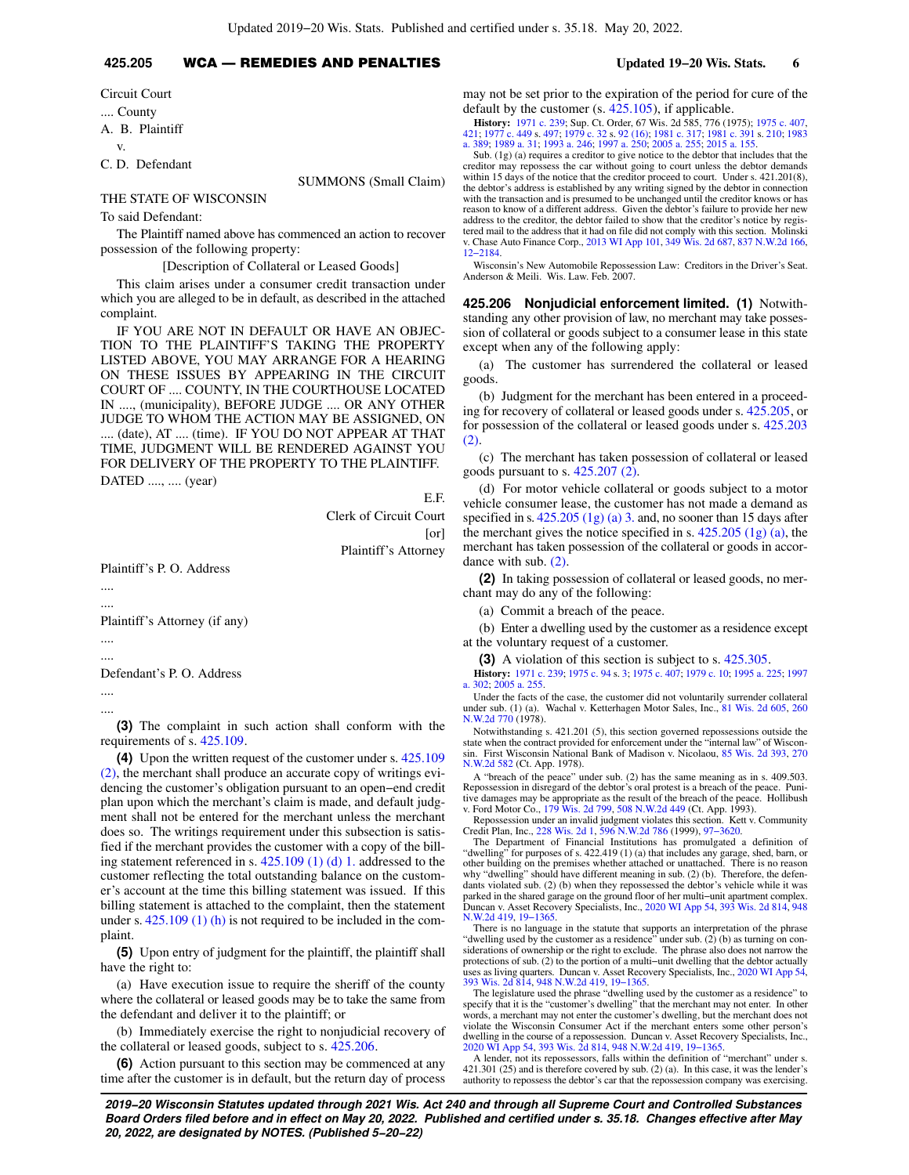# **425.205** WCA — REMEDIES AND PENALTIES **Updated 19−20 Wis. Stats. 6**

Circuit Court .... County A. B. Plaintiff

v.

C. D. Defendant

SUMMONS (Small Claim)

## THE STATE OF WISCONSIN

To said Defendant:

The Plaintiff named above has commenced an action to recover possession of the following property:

[Description of Collateral or Leased Goods]

This claim arises under a consumer credit transaction under which you are alleged to be in default, as described in the attached complaint.

IF YOU ARE NOT IN DEFAULT OR HAVE AN OBJEC-TION TO THE PLAINTIFF'S TAKING THE PROPERTY LISTED ABOVE, YOU MAY ARRANGE FOR A HEARING ON THESE ISSUES BY APPEARING IN THE CIRCUIT COURT OF .... COUNTY, IN THE COURTHOUSE LOCATED IN ...., (municipality), BEFORE JUDGE .... OR ANY OTHER JUDGE TO WHOM THE ACTION MAY BE ASSIGNED, ON .... (date), AT .... (time). IF YOU DO NOT APPEAR AT THAT TIME, JUDGMENT WILL BE RENDERED AGAINST YOU FOR DELIVERY OF THE PROPERTY TO THE PLAINTIFF.

DATED ...., .... (year)

E.F. Clerk of Circuit Court [or] Plaintiff's Attorney

Plaintiff's P. O. Address

.... ....

Plaintiff's Attorney (if any)

.... ....

Defendant's P. O. Address

.... ....

**(3)** The complaint in such action shall conform with the requirements of s. [425.109.](https://docs-preview.legis.wisconsin.gov/document/statutes/425.109)

**(4)** Upon the written request of the customer under s. [425.109](https://docs-preview.legis.wisconsin.gov/document/statutes/425.109(2)) [\(2\)](https://docs-preview.legis.wisconsin.gov/document/statutes/425.109(2)), the merchant shall produce an accurate copy of writings evidencing the customer's obligation pursuant to an open−end credit plan upon which the merchant's claim is made, and default judgment shall not be entered for the merchant unless the merchant does so. The writings requirement under this subsection is satisfied if the merchant provides the customer with a copy of the billing statement referenced in s. [425.109 \(1\) \(d\) 1.](https://docs-preview.legis.wisconsin.gov/document/statutes/425.109(1)(d)1.) addressed to the customer reflecting the total outstanding balance on the customer's account at the time this billing statement was issued. If this billing statement is attached to the complaint, then the statement under s. [425.109 \(1\) \(h\)](https://docs-preview.legis.wisconsin.gov/document/statutes/425.109(1)(h)) is not required to be included in the complaint.

**(5)** Upon entry of judgment for the plaintiff, the plaintiff shall have the right to:

(a) Have execution issue to require the sheriff of the county where the collateral or leased goods may be to take the same from the defendant and deliver it to the plaintiff; or

(b) Immediately exercise the right to nonjudicial recovery of the collateral or leased goods, subject to s. [425.206.](https://docs-preview.legis.wisconsin.gov/document/statutes/425.206)

**(6)** Action pursuant to this section may be commenced at any time after the customer is in default, but the return day of process may not be set prior to the expiration of the period for cure of the default by the customer (s. [425.105\)](https://docs-preview.legis.wisconsin.gov/document/statutes/425.105), if applicable.

**History:** [1971 c. 239;](https://docs-preview.legis.wisconsin.gov/document/acts/1971/239) Sup. Ct. Order, 67 Wis. 2d 585, 776 (1975); [1975 c. 407](https://docs-preview.legis.wisconsin.gov/document/acts/1975/407), [421;](https://docs-preview.legis.wisconsin.gov/document/acts/1975/421) [1977 c. 449](https://docs-preview.legis.wisconsin.gov/document/acts/1977/449) s. [497;](https://docs-preview.legis.wisconsin.gov/document/acts/1977/449,%20s.%20497) [1979 c. 32](https://docs-preview.legis.wisconsin.gov/document/acts/1979/32) s. [92 \(16\);](https://docs-preview.legis.wisconsin.gov/document/acts/1979/32,%20s.%2092) [1981 c. 317;](https://docs-preview.legis.wisconsin.gov/document/acts/1981/317) [1981 c. 391](https://docs-preview.legis.wisconsin.gov/document/acts/1981/391) s. [210;](https://docs-preview.legis.wisconsin.gov/document/acts/1981/391,%20s.%20210) [1983](https://docs-preview.legis.wisconsin.gov/document/acts/1983/389) [a. 389](https://docs-preview.legis.wisconsin.gov/document/acts/1983/389); [1989 a. 31](https://docs-preview.legis.wisconsin.gov/document/acts/1989/31); [1993 a. 246](https://docs-preview.legis.wisconsin.gov/document/acts/1993/246); [1997 a. 250;](https://docs-preview.legis.wisconsin.gov/document/acts/1997/250) [2005 a. 255](https://docs-preview.legis.wisconsin.gov/document/acts/2005/255); [2015 a. 155](https://docs-preview.legis.wisconsin.gov/document/acts/2015/155).

Sub. (1g) (a) requires a creditor to give notice to the debtor that includes that the creditor may repossess the car without going to court unless the debtor demands within 15 days of the notice that the creditor proceed to court. Under s. 421.201(8), the debtor's address is established by any writing signed by the debtor in connection with the transaction and is presumed to be unchanged until the creditor knows or has reason to know of a different address. Given the debtor's failure to provide her new address to the creditor, the debtor failed to show that the creditor's notice by registered mail to the address that it had on file did not comply with this section. Molinski v. Chase Auto Finance Corp., [2013 WI App 101](https://docs-preview.legis.wisconsin.gov/document/courts/2013%20WI%20App%20101), [349 Wis. 2d 687,](https://docs-preview.legis.wisconsin.gov/document/courts/349%20Wis.%202d%20687) [837 N.W.2d 166](https://docs-preview.legis.wisconsin.gov/document/courts/837%20N.W.2d%20166), [12−2184.](https://docs-preview.legis.wisconsin.gov/document/wicourtofappeals/12-2184)

Wisconsin's New Automobile Repossession Law: Creditors in the Driver's Seat. Anderson & Meili. Wis. Law. Feb. 2007.

**425.206 Nonjudicial enforcement limited. (1)** Notwithstanding any other provision of law, no merchant may take possession of collateral or goods subject to a consumer lease in this state except when any of the following apply:

(a) The customer has surrendered the collateral or leased goods.

(b) Judgment for the merchant has been entered in a proceeding for recovery of collateral or leased goods under s. [425.205,](https://docs-preview.legis.wisconsin.gov/document/statutes/425.205) or for possession of the collateral or leased goods under s. [425.203](https://docs-preview.legis.wisconsin.gov/document/statutes/425.203(2)) [\(2\).](https://docs-preview.legis.wisconsin.gov/document/statutes/425.203(2))

(c) The merchant has taken possession of collateral or leased goods pursuant to s. [425.207 \(2\).](https://docs-preview.legis.wisconsin.gov/document/statutes/425.207(2))

(d) For motor vehicle collateral or goods subject to a motor vehicle consumer lease, the customer has not made a demand as specified in s.  $425.205$  (1g) (a) 3. and, no sooner than 15 days after the merchant gives the notice specified in s.  $425.205$  (1g) (a), the merchant has taken possession of the collateral or goods in accordance with sub. [\(2\)](https://docs-preview.legis.wisconsin.gov/document/statutes/425.206(2)).

**(2)** In taking possession of collateral or leased goods, no merchant may do any of the following:

(a) Commit a breach of the peace.

(b) Enter a dwelling used by the customer as a residence except at the voluntary request of a customer.

**(3)** A violation of this section is subject to s. [425.305.](https://docs-preview.legis.wisconsin.gov/document/statutes/425.305)

**History:** [1971 c. 239](https://docs-preview.legis.wisconsin.gov/document/acts/1971/239); [1975 c. 94](https://docs-preview.legis.wisconsin.gov/document/acts/1975/94) s. [3;](https://docs-preview.legis.wisconsin.gov/document/acts/1975/94,%20s.%203) [1975 c. 407;](https://docs-preview.legis.wisconsin.gov/document/acts/1975/407) [1979 c. 10;](https://docs-preview.legis.wisconsin.gov/document/acts/1979/10) [1995 a. 225;](https://docs-preview.legis.wisconsin.gov/document/acts/1995/225) [1997](https://docs-preview.legis.wisconsin.gov/document/acts/1997/302) [a. 302](https://docs-preview.legis.wisconsin.gov/document/acts/1997/302); [2005 a. 255.](https://docs-preview.legis.wisconsin.gov/document/acts/2005/255)

Under the facts of the case, the customer did not voluntarily surrender collateral under sub. (1) (a). Wachal v. Ketterhagen Motor Sales, Inc., [81 Wis. 2d 605,](https://docs-preview.legis.wisconsin.gov/document/courts/81%20Wis.%202d%20605) [260](https://docs-preview.legis.wisconsin.gov/document/courts/260%20N.W.2d%20770) [N.W.2d 770](https://docs-preview.legis.wisconsin.gov/document/courts/260%20N.W.2d%20770) (1978).

Notwithstanding s. 421.201 (5), this section governed repossessions outside the state when the contract provided for enforcement under the "internal law" of Wisconsin. First Wisconsin National Bank of Madison v. Nicolaou, [85 Wis. 2d 393,](https://docs-preview.legis.wisconsin.gov/document/courts/85%20Wis.%202d%20393) [270](https://docs-preview.legis.wisconsin.gov/document/courts/270%20N.W.2d%20582) [N.W.2d 582](https://docs-preview.legis.wisconsin.gov/document/courts/270%20N.W.2d%20582) (Ct. App. 1978).

A "breach of the peace" under sub. (2) has the same meaning as in s. 409.503. Repossession in disregard of the debtor's oral protest is a breach of the peace. Punitive damages may be appropriate as the result of the breach of the peace. Hollibush v. Ford Motor Co., [179 Wis. 2d 799](https://docs-preview.legis.wisconsin.gov/document/courts/179%20Wis.%202d%20799), [508 N.W.2d 449](https://docs-preview.legis.wisconsin.gov/document/courts/508%20N.W.2d%20449) (Ct. App. 1993).

Repossession under an invalid judgment violates this section. Kett v. Community Credit Plan, Inc., [228 Wis. 2d 1](https://docs-preview.legis.wisconsin.gov/document/courts/228%20Wis.%202d%201), [596 N.W.2d 786](https://docs-preview.legis.wisconsin.gov/document/courts/596%20N.W.2d%20786) (1999), [97−3620.](https://docs-preview.legis.wisconsin.gov/document/wisupremecourt/97-3620)

The Department of Financial Institutions has promulgated a definition of "dwelling" for purposes of s. 422.419 (1) (a) that includes any garage, shed, barn, or<br>other building on the premises whether attached or unattached. There is no reason<br>why "dwelling" should have different meaning in sub. dants violated sub. (2) (b) when they repossessed the debtor's vehicle while it was parked in the shared garage on the ground floor of her multi−unit apartment complex. Duncan v. Asset Recovery Specialists, Inc., [2020 WI App 54](https://docs-preview.legis.wisconsin.gov/document/courts/2020%20WI%20App%2054), [393 Wis. 2d 814](https://docs-preview.legis.wisconsin.gov/document/courts/393%20Wis.%202d%20814), [948](https://docs-preview.legis.wisconsin.gov/document/courts/948%20N.W.2d%20419) [N.W.2d 419,](https://docs-preview.legis.wisconsin.gov/document/courts/948%20N.W.2d%20419) [19−1365.](https://docs-preview.legis.wisconsin.gov/document/wicourtofappeals/19-1365)

There is no language in the statute that supports an interpretation of the phrase "dwelling used by the customer as a residence" under sub. (2) (b) as turning on considerations of ownership or the right to exclude. The phrase also does not narrow the protections of sub. (2) to the portion of a multi−unit dwelling that the debtor actually uses as living quarters. Duncan v. Asset Recovery Specialists, Inc., [2020 WI App 54](https://docs-preview.legis.wisconsin.gov/document/courts/2020%20WI%20App%2054), [393 Wis. 2d 814](https://docs-preview.legis.wisconsin.gov/document/courts/393%20Wis.%202d%20814), [948 N.W.2d 419,](https://docs-preview.legis.wisconsin.gov/document/courts/948%20N.W.2d%20419) [19−1365.](https://docs-preview.legis.wisconsin.gov/document/wicourtofappeals/19-1365)

The legislature used the phrase "dwelling used by the customer as a residence" to specify that it is the "customer's dwelling" that the merchant may not enter. In other words, a merchant may not enter the customer's dwelling, but the merchant does not violate the Wisconsin Consumer Act if the merchant enters some other person's dwelling in the course of a repossession. Duncan v. Asset Recovery Specialists, Inc., [2020 WI App 54](https://docs-preview.legis.wisconsin.gov/document/courts/2020%20WI%20App%2054), [393 Wis. 2d 814,](https://docs-preview.legis.wisconsin.gov/document/courts/393%20Wis.%202d%20814) [948 N.W.2d 419,](https://docs-preview.legis.wisconsin.gov/document/courts/948%20N.W.2d%20419) [19−1365.](https://docs-preview.legis.wisconsin.gov/document/wicourtofappeals/19-1365)

A lender, not its repossessors, falls within the definition of "merchant" under s. 421.301 (25) and is therefore covered by sub. (2) (a). In this case, it was the lender's authority to repossess the debtor's car that the repossession company was exercising.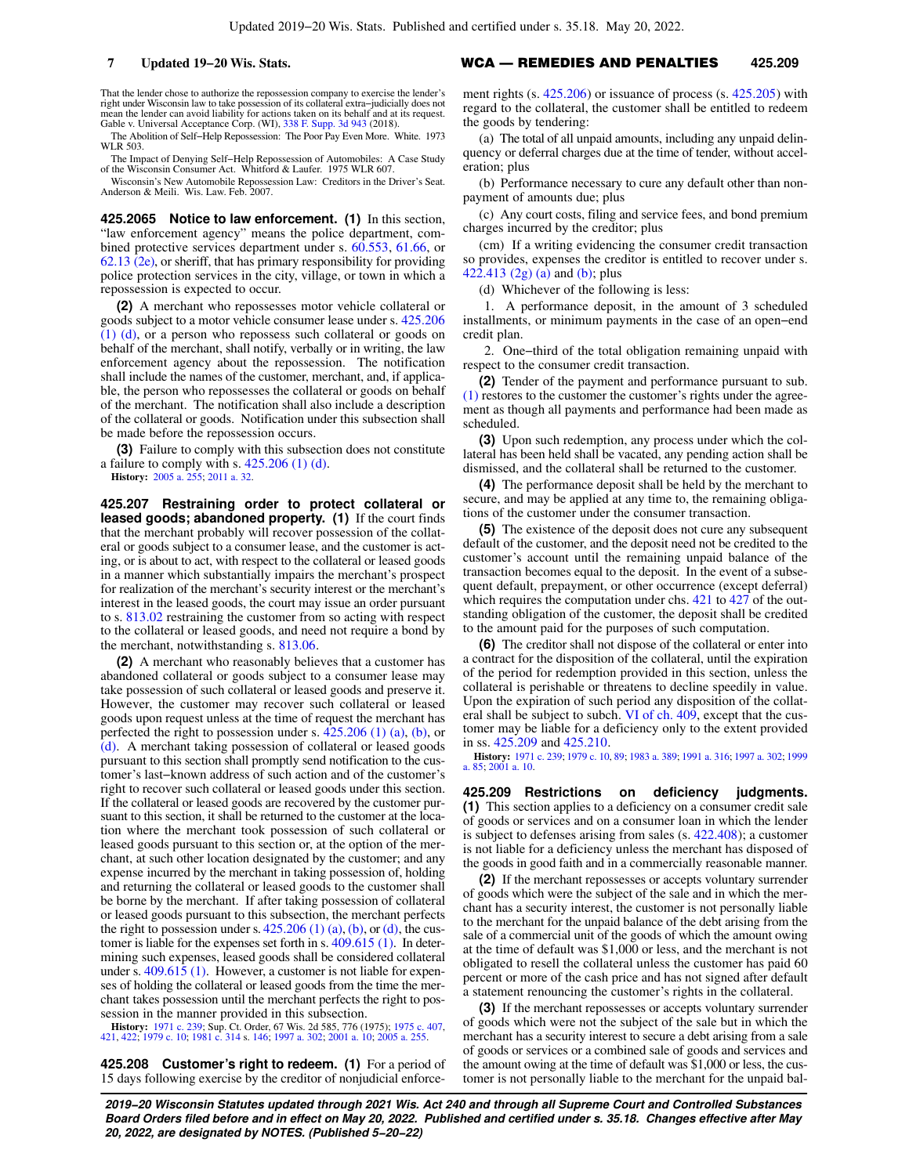That the lender chose to authorize the repossession company to exercise the lender's right under Wisconsin law to take possession of its collateral extra−judicially does not mean the lender can avoid liability for actions taken on its behalf and at its request. Gable v. Universal Acceptance Corp. (WI), [338 F. Supp. 3d 943](https://docs-preview.legis.wisconsin.gov/document/courts/338%20F.%20Supp.%203d%20943) (2018).

The Abolition of Self−Help Repossession: The Poor Pay Even More. White. 1973 WLR 503.

The Impact of Denying Self−Help Repossession of Automobiles: A Case Study of the Wisconsin Consumer Act. Whitford & Laufer. 1975 WLR 607.

Wisconsin's New Automobile Repossession Law: Creditors in the Driver's Seat. Anderson & Meili. Wis. Law. Feb. 2007.

**425.2065 Notice to law enforcement. (1)** In this section, "law enforcement agency" means the police department, combined protective services department under s. [60.553,](https://docs-preview.legis.wisconsin.gov/document/statutes/60.553) [61.66](https://docs-preview.legis.wisconsin.gov/document/statutes/61.66), or [62.13 \(2e\)](https://docs-preview.legis.wisconsin.gov/document/statutes/62.13(2e)), or sheriff, that has primary responsibility for providing police protection services in the city, village, or town in which a repossession is expected to occur.

**(2)** A merchant who repossesses motor vehicle collateral or goods subject to a motor vehicle consumer lease under s. [425.206](https://docs-preview.legis.wisconsin.gov/document/statutes/425.206(1)(d)) [\(1\) \(d\)](https://docs-preview.legis.wisconsin.gov/document/statutes/425.206(1)(d)), or a person who repossess such collateral or goods on behalf of the merchant, shall notify, verbally or in writing, the law enforcement agency about the repossession. The notification shall include the names of the customer, merchant, and, if applicable, the person who repossesses the collateral or goods on behalf of the merchant. The notification shall also include a description of the collateral or goods. Notification under this subsection shall be made before the repossession occurs.

**(3)** Failure to comply with this subsection does not constitute a failure to comply with s.  $425.206$  (1) (d).

**History:** [2005 a. 255](https://docs-preview.legis.wisconsin.gov/document/acts/2005/255); [2011 a. 32](https://docs-preview.legis.wisconsin.gov/document/acts/2011/32).

**425.207 Restraining order to protect collateral or leased goods; abandoned property. (1)** If the court finds that the merchant probably will recover possession of the collateral or goods subject to a consumer lease, and the customer is acting, or is about to act, with respect to the collateral or leased goods in a manner which substantially impairs the merchant's prospect for realization of the merchant's security interest or the merchant's interest in the leased goods, the court may issue an order pursuant to s. [813.02](https://docs-preview.legis.wisconsin.gov/document/statutes/813.02) restraining the customer from so acting with respect to the collateral or leased goods, and need not require a bond by the merchant, notwithstanding s. [813.06.](https://docs-preview.legis.wisconsin.gov/document/statutes/813.06)

**(2)** A merchant who reasonably believes that a customer has abandoned collateral or goods subject to a consumer lease may take possession of such collateral or leased goods and preserve it. However, the customer may recover such collateral or leased goods upon request unless at the time of request the merchant has perfected the right to possession under s. [425.206 \(1\) \(a\),](https://docs-preview.legis.wisconsin.gov/document/statutes/425.206(1)(a)) [\(b\),](https://docs-preview.legis.wisconsin.gov/document/statutes/425.206(1)(b)) or [\(d\)](https://docs-preview.legis.wisconsin.gov/document/statutes/425.206(1)(d)). A merchant taking possession of collateral or leased goods pursuant to this section shall promptly send notification to the customer's last−known address of such action and of the customer's right to recover such collateral or leased goods under this section. If the collateral or leased goods are recovered by the customer pursuant to this section, it shall be returned to the customer at the location where the merchant took possession of such collateral or leased goods pursuant to this section or, at the option of the merchant, at such other location designated by the customer; and any expense incurred by the merchant in taking possession of, holding and returning the collateral or leased goods to the customer shall be borne by the merchant. If after taking possession of collateral or leased goods pursuant to this subsection, the merchant perfects the right to possession under s.  $425.206$  (1) (a), [\(b\)](https://docs-preview.legis.wisconsin.gov/document/statutes/425.206(1)(b)), or [\(d\)](https://docs-preview.legis.wisconsin.gov/document/statutes/425.206(1)(d)), the customer is liable for the expenses set forth in s. [409.615 \(1\).](https://docs-preview.legis.wisconsin.gov/document/statutes/409.615(1)) In determining such expenses, leased goods shall be considered collateral under s. [409.615 \(1\).](https://docs-preview.legis.wisconsin.gov/document/statutes/409.615(1)) However, a customer is not liable for expenses of holding the collateral or leased goods from the time the merchant takes possession until the merchant perfects the right to possession in the manner provided in this subsection.

**History:** [1971 c. 239](https://docs-preview.legis.wisconsin.gov/document/acts/1971/239); Sup. Ct. Order, 67 Wis. 2d 585, 776 (1975); [1975 c. 407](https://docs-preview.legis.wisconsin.gov/document/acts/1975/407), [421](https://docs-preview.legis.wisconsin.gov/document/acts/1975/421), [422](https://docs-preview.legis.wisconsin.gov/document/acts/1975/422); [1979 c. 10;](https://docs-preview.legis.wisconsin.gov/document/acts/1979/10) [1981 c. 314](https://docs-preview.legis.wisconsin.gov/document/acts/1981/314) s. [146;](https://docs-preview.legis.wisconsin.gov/document/acts/1981/314,%20s.%20146) [1997 a. 302](https://docs-preview.legis.wisconsin.gov/document/acts/1997/302); [2001 a. 10;](https://docs-preview.legis.wisconsin.gov/document/acts/2001/10) [2005 a. 255](https://docs-preview.legis.wisconsin.gov/document/acts/2005/255).

**425.208 Customer's right to redeem. (1)** For a period of 15 days following exercise by the creditor of nonjudicial enforce-

**7 Updated 19−20 Wis. Stats.** WCA — REMEDIES AND PENALTIES **425.209**

ment rights (s. [425.206\)](https://docs-preview.legis.wisconsin.gov/document/statutes/425.206) or issuance of process (s. [425.205\)](https://docs-preview.legis.wisconsin.gov/document/statutes/425.205) with regard to the collateral, the customer shall be entitled to redeem the goods by tendering:

(a) The total of all unpaid amounts, including any unpaid delinquency or deferral charges due at the time of tender, without acceleration; plus

(b) Performance necessary to cure any default other than nonpayment of amounts due; plus

(c) Any court costs, filing and service fees, and bond premium charges incurred by the creditor; plus

(cm) If a writing evidencing the consumer credit transaction so provides, expenses the creditor is entitled to recover under s. [422.413 \(2g\) \(a\)](https://docs-preview.legis.wisconsin.gov/document/statutes/422.413(2g)(a)) and [\(b\)](https://docs-preview.legis.wisconsin.gov/document/statutes/422.413(2g)(b)); plus

(d) Whichever of the following is less:

1. A performance deposit, in the amount of 3 scheduled installments, or minimum payments in the case of an open−end credit plan.

2. One−third of the total obligation remaining unpaid with respect to the consumer credit transaction.

**(2)** Tender of the payment and performance pursuant to sub. [\(1\)](https://docs-preview.legis.wisconsin.gov/document/statutes/425.208(1)) restores to the customer the customer's rights under the agreement as though all payments and performance had been made as scheduled.

**(3)** Upon such redemption, any process under which the collateral has been held shall be vacated, any pending action shall be dismissed, and the collateral shall be returned to the customer.

**(4)** The performance deposit shall be held by the merchant to secure, and may be applied at any time to, the remaining obligations of the customer under the consumer transaction.

**(5)** The existence of the deposit does not cure any subsequent default of the customer, and the deposit need not be credited to the customer's account until the remaining unpaid balance of the transaction becomes equal to the deposit. In the event of a subsequent default, prepayment, or other occurrence (except deferral) which requires the computation under chs. [421](https://docs-preview.legis.wisconsin.gov/document/statutes/ch.%20421) to [427](https://docs-preview.legis.wisconsin.gov/document/statutes/ch.%20427) of the outstanding obligation of the customer, the deposit shall be credited to the amount paid for the purposes of such computation.

**(6)** The creditor shall not dispose of the collateral or enter into a contract for the disposition of the collateral, until the expiration of the period for redemption provided in this section, unless the collateral is perishable or threatens to decline speedily in value. Upon the expiration of such period any disposition of the collateral shall be subject to subch. [VI of ch. 409](https://docs-preview.legis.wisconsin.gov/document/statutes/subch.%20VI%20of%20ch.%20409), except that the customer may be liable for a deficiency only to the extent provided in ss. [425.209](https://docs-preview.legis.wisconsin.gov/document/statutes/425.209) and [425.210](https://docs-preview.legis.wisconsin.gov/document/statutes/425.210).

**History:** [1971 c. 239;](https://docs-preview.legis.wisconsin.gov/document/acts/1971/239) [1979 c. 10,](https://docs-preview.legis.wisconsin.gov/document/acts/1979/10) [89;](https://docs-preview.legis.wisconsin.gov/document/acts/1979/89) [1983 a. 389](https://docs-preview.legis.wisconsin.gov/document/acts/1983/389); [1991 a. 316;](https://docs-preview.legis.wisconsin.gov/document/acts/1991/316) [1997 a. 302;](https://docs-preview.legis.wisconsin.gov/document/acts/1997/302) [1999](https://docs-preview.legis.wisconsin.gov/document/acts/1999/85) [a. 85;](https://docs-preview.legis.wisconsin.gov/document/acts/1999/85) [2001 a. 10.](https://docs-preview.legis.wisconsin.gov/document/acts/2001/10)

**425.209 Restrictions on deficiency judgments. (1)** This section applies to a deficiency on a consumer credit sale of goods or services and on a consumer loan in which the lender is subject to defenses arising from sales (s. [422.408](https://docs-preview.legis.wisconsin.gov/document/statutes/422.408)); a customer is not liable for a deficiency unless the merchant has disposed of the goods in good faith and in a commercially reasonable manner.

**(2)** If the merchant repossesses or accepts voluntary surrender of goods which were the subject of the sale and in which the merchant has a security interest, the customer is not personally liable to the merchant for the unpaid balance of the debt arising from the sale of a commercial unit of the goods of which the amount owing at the time of default was \$1,000 or less, and the merchant is not obligated to resell the collateral unless the customer has paid 60 percent or more of the cash price and has not signed after default a statement renouncing the customer's rights in the collateral.

**(3)** If the merchant repossesses or accepts voluntary surrender of goods which were not the subject of the sale but in which the merchant has a security interest to secure a debt arising from a sale of goods or services or a combined sale of goods and services and the amount owing at the time of default was \$1,000 or less, the customer is not personally liable to the merchant for the unpaid bal-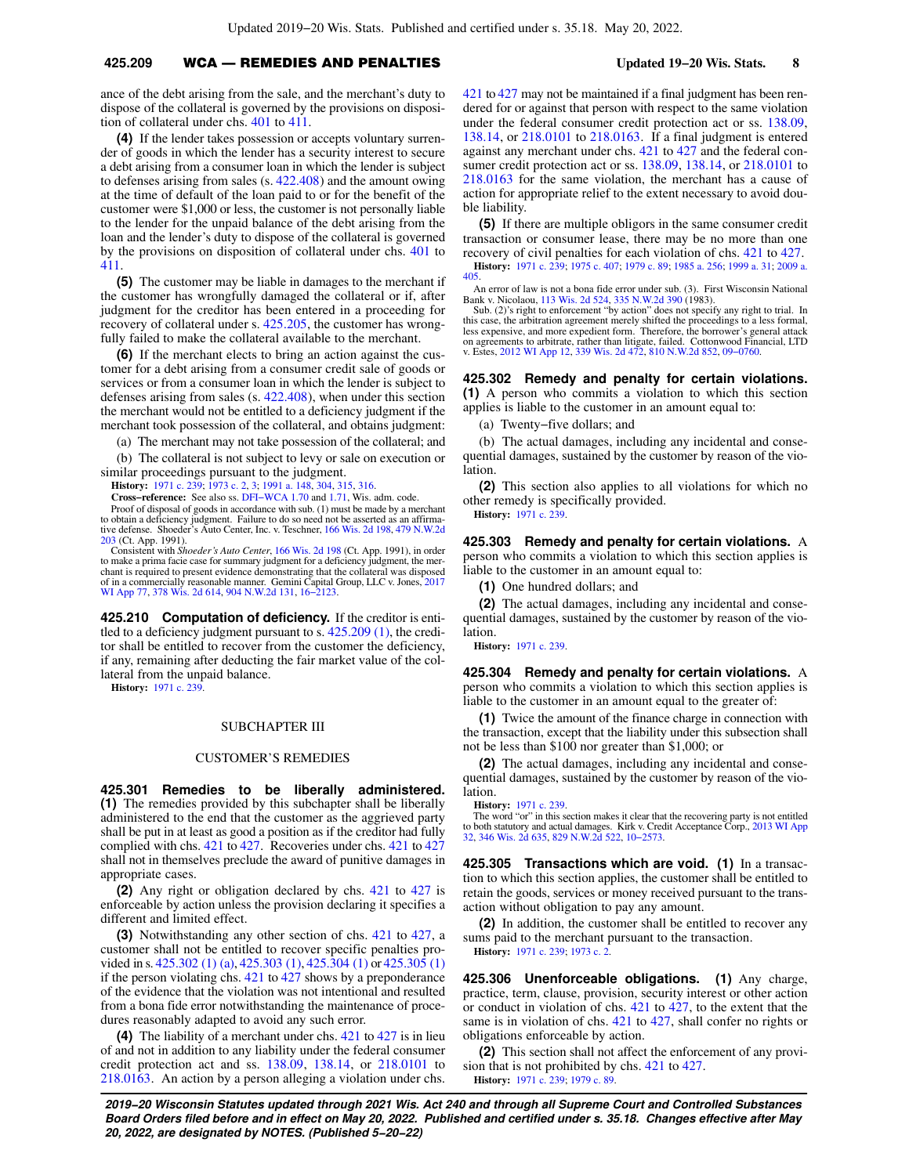ance of the debt arising from the sale, and the merchant's duty to dispose of the collateral is governed by the provisions on disposition of collateral under chs. [401](https://docs-preview.legis.wisconsin.gov/document/statutes/ch.%20401) to [411.](https://docs-preview.legis.wisconsin.gov/document/statutes/ch.%20411)

**(4)** If the lender takes possession or accepts voluntary surrender of goods in which the lender has a security interest to secure a debt arising from a consumer loan in which the lender is subject to defenses arising from sales (s. [422.408](https://docs-preview.legis.wisconsin.gov/document/statutes/422.408)) and the amount owing at the time of default of the loan paid to or for the benefit of the customer were \$1,000 or less, the customer is not personally liable to the lender for the unpaid balance of the debt arising from the loan and the lender's duty to dispose of the collateral is governed by the provisions on disposition of collateral under chs. [401](https://docs-preview.legis.wisconsin.gov/document/statutes/ch.%20401) to [411](https://docs-preview.legis.wisconsin.gov/document/statutes/ch.%20411).

**(5)** The customer may be liable in damages to the merchant if the customer has wrongfully damaged the collateral or if, after judgment for the creditor has been entered in a proceeding for recovery of collateral under s. [425.205,](https://docs-preview.legis.wisconsin.gov/document/statutes/425.205) the customer has wrongfully failed to make the collateral available to the merchant.

**(6)** If the merchant elects to bring an action against the customer for a debt arising from a consumer credit sale of goods or services or from a consumer loan in which the lender is subject to defenses arising from sales (s. [422.408](https://docs-preview.legis.wisconsin.gov/document/statutes/422.408)), when under this section the merchant would not be entitled to a deficiency judgment if the merchant took possession of the collateral, and obtains judgment:

(a) The merchant may not take possession of the collateral; and (b) The collateral is not subject to levy or sale on execution or similar proceedings pursuant to the judgment.

**History:** [1971 c. 239](https://docs-preview.legis.wisconsin.gov/document/acts/1971/239); [1973 c. 2,](https://docs-preview.legis.wisconsin.gov/document/acts/1973/2) [3](https://docs-preview.legis.wisconsin.gov/document/acts/1973/3); [1991 a. 148,](https://docs-preview.legis.wisconsin.gov/document/acts/1991/148) [304,](https://docs-preview.legis.wisconsin.gov/document/acts/1991/304) [315,](https://docs-preview.legis.wisconsin.gov/document/acts/1991/315) [316.](https://docs-preview.legis.wisconsin.gov/document/acts/1991/316)

**Cross−reference:** See also ss. [DFI−WCA 1.70](https://docs-preview.legis.wisconsin.gov/document/administrativecode/DFI-WCA%201.70) and [1.71,](https://docs-preview.legis.wisconsin.gov/document/administrativecode/DFI-WCA%201.71) Wis. adm. code.

Proof of disposal of goods in accordance with sub. (1) must be made by a merchant to obtain a deficiency judgment. Failure to do so need not be asserted as an affirma-tive defense. Shoeder's Auto Center, Inc. v. Teschner, [166 Wis. 2d 198](https://docs-preview.legis.wisconsin.gov/document/courts/166%20Wis.%202d%20198), [479 N.W.2d](https://docs-preview.legis.wisconsin.gov/document/courts/479%20N.W.2d%20203) [203](https://docs-preview.legis.wisconsin.gov/document/courts/479%20N.W.2d%20203) (Ct. App. 1991).

Consistent with *Shoeder's Auto Center*, [166 Wis. 2d 198](https://docs-preview.legis.wisconsin.gov/document/courts/166%20Wis.%202d%20198) (Ct. App. 1991), in order to make a prima facie case for summary judgment for a deficiency judgment, the merchant is required to present evidence demonstrating that the collateral was disposed of in a commercially reasonable manner. Gemini Capital Group, LLC v. Jones, [2017](https://docs-preview.legis.wisconsin.gov/document/courts/2017%20WI%20App%2077) [WI App 77](https://docs-preview.legis.wisconsin.gov/document/courts/2017%20WI%20App%2077), [378 Wis. 2d 614,](https://docs-preview.legis.wisconsin.gov/document/courts/378%20Wis.%202d%20614) [904 N.W.2d 131,](https://docs-preview.legis.wisconsin.gov/document/courts/904%20N.W.2d%20131) [16−2123.](https://docs-preview.legis.wisconsin.gov/document/wicourtofappeals/16-2123)

**425.210 Computation of deficiency.** If the creditor is entitled to a deficiency judgment pursuant to s. [425.209 \(1\)](https://docs-preview.legis.wisconsin.gov/document/statutes/425.209(1)), the creditor shall be entitled to recover from the customer the deficiency, if any, remaining after deducting the fair market value of the collateral from the unpaid balance.

**History:** [1971 c. 239](https://docs-preview.legis.wisconsin.gov/document/acts/1971/239).

### SUBCHAPTER III

### CUSTOMER'S REMEDIES

**425.301 Remedies to be liberally administered. (1)** The remedies provided by this subchapter shall be liberally administered to the end that the customer as the aggrieved party shall be put in at least as good a position as if the creditor had fully complied with chs. [421](https://docs-preview.legis.wisconsin.gov/document/statutes/ch.%20421) to [427](https://docs-preview.legis.wisconsin.gov/document/statutes/ch.%20427). Recoveries under chs. [421](https://docs-preview.legis.wisconsin.gov/document/statutes/ch.%20421) to [427](https://docs-preview.legis.wisconsin.gov/document/statutes/ch.%20427) shall not in themselves preclude the award of punitive damages in appropriate cases.

**(2)** Any right or obligation declared by chs. [421](https://docs-preview.legis.wisconsin.gov/document/statutes/ch.%20421) to [427](https://docs-preview.legis.wisconsin.gov/document/statutes/ch.%20427) is enforceable by action unless the provision declaring it specifies a different and limited effect.

**(3)** Notwithstanding any other section of chs. [421](https://docs-preview.legis.wisconsin.gov/document/statutes/ch.%20421) to [427,](https://docs-preview.legis.wisconsin.gov/document/statutes/ch.%20427) a customer shall not be entitled to recover specific penalties provided in s. [425.302 \(1\) \(a\),](https://docs-preview.legis.wisconsin.gov/document/statutes/425.302(1)(a)) [425.303 \(1\),](https://docs-preview.legis.wisconsin.gov/document/statutes/425.303(1)) [425.304 \(1\)](https://docs-preview.legis.wisconsin.gov/document/statutes/425.304(1)) or [425.305 \(1\)](https://docs-preview.legis.wisconsin.gov/document/statutes/425.305(1)) if the person violating chs. [421](https://docs-preview.legis.wisconsin.gov/document/statutes/ch.%20421) to [427](https://docs-preview.legis.wisconsin.gov/document/statutes/ch.%20427) shows by a preponderance of the evidence that the violation was not intentional and resulted from a bona fide error notwithstanding the maintenance of procedures reasonably adapted to avoid any such error.

**(4)** The liability of a merchant under chs. [421](https://docs-preview.legis.wisconsin.gov/document/statutes/ch.%20421) to [427](https://docs-preview.legis.wisconsin.gov/document/statutes/ch.%20427) is in lieu of and not in addition to any liability under the federal consumer credit protection act and ss. [138.09,](https://docs-preview.legis.wisconsin.gov/document/statutes/138.09) [138.14](https://docs-preview.legis.wisconsin.gov/document/statutes/138.14), or [218.0101](https://docs-preview.legis.wisconsin.gov/document/statutes/218.0101) to [218.0163.](https://docs-preview.legis.wisconsin.gov/document/statutes/218.0163) An action by a person alleging a violation under chs. [421](https://docs-preview.legis.wisconsin.gov/document/statutes/ch.%20421) to [427](https://docs-preview.legis.wisconsin.gov/document/statutes/ch.%20427) may not be maintained if a final judgment has been rendered for or against that person with respect to the same violation under the federal consumer credit protection act or ss. [138.09,](https://docs-preview.legis.wisconsin.gov/document/statutes/138.09) [138.14,](https://docs-preview.legis.wisconsin.gov/document/statutes/138.14) or [218.0101](https://docs-preview.legis.wisconsin.gov/document/statutes/218.0101) to [218.0163.](https://docs-preview.legis.wisconsin.gov/document/statutes/218.0163) If a final judgment is entered against any merchant under chs. [421](https://docs-preview.legis.wisconsin.gov/document/statutes/ch.%20421) to [427](https://docs-preview.legis.wisconsin.gov/document/statutes/ch.%20427) and the federal consumer credit protection act or ss. [138.09](https://docs-preview.legis.wisconsin.gov/document/statutes/138.09), [138.14,](https://docs-preview.legis.wisconsin.gov/document/statutes/138.14) or [218.0101](https://docs-preview.legis.wisconsin.gov/document/statutes/218.0101) to [218.0163](https://docs-preview.legis.wisconsin.gov/document/statutes/218.0163) for the same violation, the merchant has a cause of action for appropriate relief to the extent necessary to avoid double liability.

**(5)** If there are multiple obligors in the same consumer credit transaction or consumer lease, there may be no more than one recovery of civil penalties for each violation of chs. [421](https://docs-preview.legis.wisconsin.gov/document/statutes/ch.%20421) to [427.](https://docs-preview.legis.wisconsin.gov/document/statutes/ch.%20427) **History:** [1971 c. 239;](https://docs-preview.legis.wisconsin.gov/document/acts/1971/239) [1975 c. 407](https://docs-preview.legis.wisconsin.gov/document/acts/1975/407); [1979 c. 89](https://docs-preview.legis.wisconsin.gov/document/acts/1979/89); [1985 a. 256;](https://docs-preview.legis.wisconsin.gov/document/acts/1985/256) [1999 a. 31;](https://docs-preview.legis.wisconsin.gov/document/acts/1999/31) [2009 a.](https://docs-preview.legis.wisconsin.gov/document/acts/2009/405) [405.](https://docs-preview.legis.wisconsin.gov/document/acts/2009/405)

An error of law is not a bona fide error under sub. (3). First Wisconsin National

Bank v. Nicolaou, [113 Wis. 2d 524](https://docs-preview.legis.wisconsin.gov/document/courts/113%20Wis.%202d%20524), [335 N.W.2d 390](https://docs-preview.legis.wisconsin.gov/document/courts/335%20N.W.2d%20390) (1983).<br>Sub. (2)'s right to enforcement "by action" does not specify any right to trial. In<br>this case, the arbitration agreement merely shifted the proceedings to a less fo less expensive, and more expedient form. Therefore, the borrower's general attack on agreements to arbitrate, rather than litigate, failed. Cottonwood Financial, LTD v. Estes, [2012 WI App 12](https://docs-preview.legis.wisconsin.gov/document/courts/2012%20WI%20App%2012), [339 Wis. 2d 472,](https://docs-preview.legis.wisconsin.gov/document/courts/339%20Wis.%202d%20472) [810 N.W.2d 852](https://docs-preview.legis.wisconsin.gov/document/courts/810%20N.W.2d%20852), [09−0760.](https://docs-preview.legis.wisconsin.gov/document/wicourtofappeals/09-0760)

### **425.302 Remedy and penalty for certain violations. (1)** A person who commits a violation to which this section

applies is liable to the customer in an amount equal to:

(a) Twenty−five dollars; and

(b) The actual damages, including any incidental and consequential damages, sustained by the customer by reason of the violation.

**(2)** This section also applies to all violations for which no other remedy is specifically provided.

**History:** [1971 c. 239.](https://docs-preview.legis.wisconsin.gov/document/acts/1971/239)

**425.303 Remedy and penalty for certain violations.** A person who commits a violation to which this section applies is liable to the customer in an amount equal to:

**(1)** One hundred dollars; and

**(2)** The actual damages, including any incidental and consequential damages, sustained by the customer by reason of the violation.

**History:** [1971 c. 239.](https://docs-preview.legis.wisconsin.gov/document/acts/1971/239)

**425.304 Remedy and penalty for certain violations.** A person who commits a violation to which this section applies is liable to the customer in an amount equal to the greater of:

**(1)** Twice the amount of the finance charge in connection with the transaction, except that the liability under this subsection shall not be less than \$100 nor greater than \$1,000; or

**(2)** The actual damages, including any incidental and consequential damages, sustained by the customer by reason of the violation.

**History:** [1971 c. 239.](https://docs-preview.legis.wisconsin.gov/document/acts/1971/239)

The word "or" in this section makes it clear that the recovering party is not entitled to both statutory and actual damages. Kirk v. Credit Acceptance Corp., [2013 WI App](https://docs-preview.legis.wisconsin.gov/document/courts/2013%20WI%20App%2032) [32](https://docs-preview.legis.wisconsin.gov/document/courts/2013%20WI%20App%2032), [346 Wis. 2d 635,](https://docs-preview.legis.wisconsin.gov/document/courts/346%20Wis.%202d%20635) [829 N.W.2d 522](https://docs-preview.legis.wisconsin.gov/document/courts/829%20N.W.2d%20522), [10−2573](https://docs-preview.legis.wisconsin.gov/document/wicourtofappeals/10-2573).

**425.305 Transactions which are void. (1)** In a transaction to which this section applies, the customer shall be entitled to retain the goods, services or money received pursuant to the transaction without obligation to pay any amount.

**(2)** In addition, the customer shall be entitled to recover any sums paid to the merchant pursuant to the transaction. **History:** [1971 c. 239;](https://docs-preview.legis.wisconsin.gov/document/acts/1971/239) [1973 c. 2](https://docs-preview.legis.wisconsin.gov/document/acts/1973/2).

**425.306 Unenforceable obligations. (1)** Any charge, practice, term, clause, provision, security interest or other action or conduct in violation of chs. [421](https://docs-preview.legis.wisconsin.gov/document/statutes/ch.%20421) to [427](https://docs-preview.legis.wisconsin.gov/document/statutes/ch.%20427), to the extent that the same is in violation of chs. [421](https://docs-preview.legis.wisconsin.gov/document/statutes/ch.%20421) to [427](https://docs-preview.legis.wisconsin.gov/document/statutes/ch.%20427), shall confer no rights or obligations enforceable by action.

**(2)** This section shall not affect the enforcement of any provision that is not prohibited by chs. [421](https://docs-preview.legis.wisconsin.gov/document/statutes/ch.%20421) to [427](https://docs-preview.legis.wisconsin.gov/document/statutes/ch.%20427). **History:** [1971 c. 239;](https://docs-preview.legis.wisconsin.gov/document/acts/1971/239) [1979 c. 89.](https://docs-preview.legis.wisconsin.gov/document/acts/1979/89)